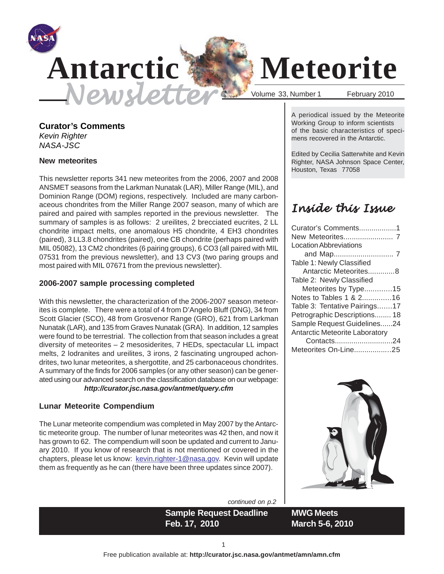

# Newsletter States Number 1 February 2010

## **Antarctic Meteorite**

#### **Curator's Comments** *Kevin Righter*

*NASA-JSC*

#### **New meteorites**

This newsletter reports 341 new meteorites from the 2006, 2007 and 2008 ANSMET seasons from the Larkman Nunatak (LAR), Miller Range (MIL), and Dominion Range (DOM) regions, respectively. Included are many carbonaceous chondrites from the Miller Range 2007 season, many of which are paired and paired with samples reported in the previous newsletter. The summary of samples is as follows: 2 ureilites, 2 brecciated eucrites, 2 LL chondrite impact melts, one anomalous H5 chondrite, 4 EH3 chondrites (paired), 3 LL3.8 chondrites (paired), one CB chondrite (perhaps paired with MIL 05082), 13 CM2 chondrites (6 pairing groups), 6 CO3 (all paired with MIL 07531 from the previous newsletter), and 13 CV3 (two paring groups and most paired with MIL 07671 from the previous newsletter).

#### **2006-2007 sample processing completed**

With this newsletter, the characterization of the 2006-2007 season meteorites is complete. There were a total of 4 from D'Angelo Bluff (DNG), 34 from Scott Glacier (SCO), 48 from Grosvenor Range (GRO), 621 from Larkman Nunatak (LAR), and 135 from Graves Nunatak (GRA). In addition, 12 samples were found to be terrestrial. The collection from that season includes a great diversity of meteorites – 2 mesosiderites, 7 HEDs, spectacular LL impact melts, 2 lodranites and ureilites, 3 irons, 2 fascinating ungrouped achondrites, two lunar meteorites, a shergottite, and 25 carbonaceous chondrites. A summary of the finds for 2006 samples (or any other season) can be generated using our advanced search on the classification database on our webpage: *http://curator.jsc.nasa.gov/antmet/query.cfm*

#### **Lunar Meteorite Compendium**

The Lunar meteorite compendium was completed in May 2007 by the Antarctic meteorite group. The number of lunar meteorites was 42 then, and now it has grown to 62. The compendium will soon be updated and current to January 2010. If you know of research that is not mentioned or covered in the chapters, please let us know: kevin.righter-1@nasa.gov. Kevin will update them as frequently as he can (there have been three updates since 2007).

*continued on p.2*

**Sample Request Deadline Feb. 17, 2010**

A periodical issued by the Meteorite Working Group to inform scientists of the basic characteristics of specimens recovered in the Antarctic.

Edited by Cecilia Satterwhite and Kevin Righter, NASA Johnson Space Center, Houston, Texas 77058

## Inside this Issue

| Curator's Comments1                   |  |
|---------------------------------------|--|
|                                       |  |
| <b>Location Abbreviations</b>         |  |
|                                       |  |
| Table 1: Newly Classified             |  |
| Antarctic Meteorites8                 |  |
| Table 2: Newly Classified             |  |
| Meteorites by Type15                  |  |
| Notes to Tables 1 & 216               |  |
| Table 3: Tentative Pairings17         |  |
| Petrographic Descriptions 18          |  |
| Sample Request Guidelines24           |  |
| <b>Antarctic Meteorite Laboratory</b> |  |
| Contacts24                            |  |
| Meteorites On-Line25                  |  |



**MWG Meets March 5-6, 2010**

1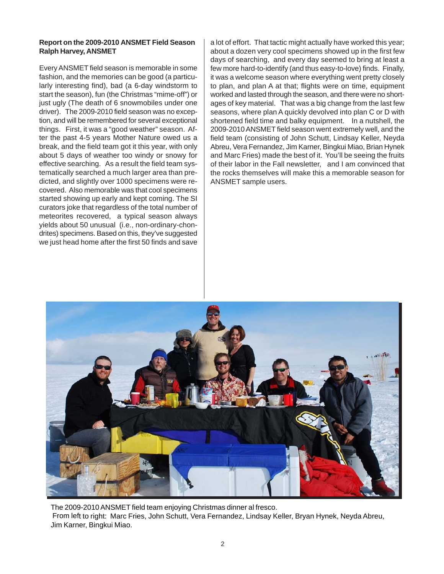#### **Report on the 2009-2010 ANSMET Field Season Ralph Harvey, ANSMET**

Every ANSMET field season is memorable in some fashion, and the memories can be good (a particularly interesting find), bad (a 6-day windstorm to start the season), fun (the Christmas "mime-off") or just ugly (The death of 6 snowmobiles under one driver). The 2009-2010 field season was no exception, and will be remembered for several exceptional things. First, it was a "good weather" season. After the past 4-5 years Mother Nature owed us a break, and the field team got it this year, with only about 5 days of weather too windy or snowy for effective searching. As a result the field team systematically searched a much larger area than predicted, and slightly over 1000 specimens were recovered. Also memorable was that cool specimens started showing up early and kept coming. The SI curators joke that regardless of the total number of meteorites recovered, a typical season always yields about 50 unusual (i.e., non-ordinary-chondrites) specimens. Based on this, they've suggested we just head home after the first 50 finds and save a lot of effort. That tactic might actually have worked this year; about a dozen very cool specimens showed up in the first few days of searching, and every day seemed to bring at least a few more hard-to-identify (and thus easy-to-love) finds. Finally, it was a welcome season where everything went pretty closely to plan, and plan A at that; flights were on time, equipment worked and lasted through the season, and there were no shortages of key material. That was a big change from the last few seasons, where plan A quickly devolved into plan C or D with shortened field time and balky equipment. In a nutshell, the 2009-2010 ANSMET field season went extremely well, and the field team (consisting of John Schutt, Lindsay Keller, Neyda Abreu, Vera Fernandez, Jim Karner, Bingkui Miao, Brian Hynek and Marc Fries) made the best of it. You'll be seeing the fruits of their labor in the Fall newsletter, and I am convinced that the rocks themselves will make this a memorable season for ANSMET sample users.



The 2009-2010 ANSMET field team enjoying Christmas dinner al fresco. From left to right: Marc Fries, John Schutt, Vera Fernandez, Lindsay Keller, Bryan Hynek, Neyda Abreu, Jim Karner, Bingkui Miao.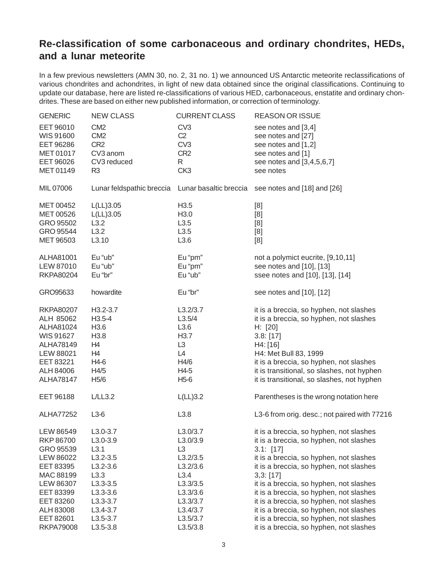#### **Re-classification of some carbonaceous and ordinary chondrites, HEDs, and a lunar meteorite**

In a few previous newsletters (AMN 30, no. 2, 31 no. 1) we announced US Antarctic meteorite reclassifications of various chondrites and achondrites, in light of new data obtained since the original classifications. Continuing to update our database, here are listed re-classifications of various HED, carbonaceous, enstatite and ordinary chondrites. These are based on either new published information, or correction of terminology.

| <b>GENERIC</b>   | <b>NEW CLASS</b>          | <b>CURRENT CLASS</b>   | <b>REASON OR ISSUE</b>                       |
|------------------|---------------------------|------------------------|----------------------------------------------|
| EET 96010        | CM <sub>2</sub>           | CV <sub>3</sub>        | see notes and [3,4]                          |
| WIS 91600        | CM <sub>2</sub>           | C <sub>2</sub>         | see notes and [27]                           |
| EET 96286        | CR <sub>2</sub>           | CV <sub>3</sub>        | see notes and [1,2]                          |
| MET 01017        | CV3 anom                  | CR <sub>2</sub>        | see notes and [1]                            |
| EET 96026        | CV3 reduced               | R                      | see notes and [3,4,5,6,7]                    |
| MET 01149        | R <sub>3</sub>            | CK <sub>3</sub>        | see notes                                    |
|                  |                           |                        |                                              |
| MIL 07006        | Lunar feldspathic breccia | Lunar basaltic breccia | see notes and [18] and [26]                  |
| MET 00452        | L(LL)3.05                 | H <sub>3.5</sub>       | [8]                                          |
| MET 00526        | L(LL)3.05                 | H <sub>3.0</sub>       | [8]                                          |
| GRO 95502        | L3.2                      | L3.5                   | [8]                                          |
| GRO 95544        | L3.2                      | L3.5                   | [8]                                          |
| MET 96503        | L3.10                     | L3.6                   | [8]                                          |
| ALHA81001        | Eu "ub"                   | Eu "pm"                | not a polymict eucrite, [9,10,11]            |
| LEW 87010        | Eu "ub"                   | Eu "pm"                | see notes and [10], [13]                     |
| <b>RKPA80204</b> | Eu "br"                   | Eu "ub"                | ssee notes and [10], [13], [14]              |
| GRO95633         | howardite                 | Eu "br"                | see notes and [10], [12]                     |
|                  |                           |                        |                                              |
| <b>RKPA80207</b> | $H3.2 - 3.7$              | L3.2/3.7               | it is a breccia, so hyphen, not slashes      |
| ALH 85062        | $H3.5 - 4$                | L3.5/4                 | it is a breccia, so hyphen, not slashes      |
| ALHA81024        | H3.6                      | L3.6                   | H: [20]                                      |
| WIS 91627        | H3.8                      | H <sub>3.7</sub>       | 3.8: [17]                                    |
| ALHA78149        | H4                        | L <sub>3</sub>         | H4: [16]                                     |
| LEW 88021        | H4                        | L4                     | H4: Met Bull 83, 1999                        |
| EET 83221        | H4-6                      | H4/6                   | it is a breccia, so hyphen, not slashes      |
| ALH 84006        | H4/5                      | H4-5                   | it is transitional, so slashes, not hyphen   |
| <b>ALHA78147</b> | H <sub>5</sub> /6         | $H5-6$                 | it is transitional, so slashes, not hyphen   |
| EET 96188        | L/LL3.2                   | L(LL)3.2               | Parentheses is the wrong notation here       |
| <b>ALHA77252</b> | $L3-6$                    | L3.8                   | L3-6 from orig. desc.; not paired with 77216 |
| LEW 86549        | $L3.0 - 3.7$              | L3.0/3.7               | it is a breccia, so hyphen, not slashes      |
| <b>RKP 86700</b> | $L3.0 - 3.9$              | L3.0/3.9               | it is a breccia, so hyphen, not slashes      |
| GRO 95539        | L3.1                      | L <sub>3</sub>         | 3.1: [17]                                    |
| LEW 86022        | $L3.2 - 3.5$              | L3.2/3.5               | it is a breccia, so hyphen, not slashes      |
| EET 83395        | $L3.2 - 3.6$              | L3.2/3.6               | it is a breccia, so hyphen, not slashes      |
| MAC 88199        | L3.3                      | L3.4                   | 3,3: [17]                                    |
| LEW 86307        | $L3.3 - 3.5$              | L3.3/3.5               | it is a breccia, so hyphen, not slashes      |
| EET 83399        | $L3.3 - 3.6$              | L3.3/3.6               | it is a breccia, so hyphen, not slashes      |
| EET 83260        | $L3.3 - 3.7$              | L3.3/3.7               | it is a breccia, so hyphen, not slashes      |
| ALH 83008        | $L3.4 - 3.7$              | L3.4/3.7               | it is a breccia, so hyphen, not slashes      |
| EET 82601        | $L3.5 - 3.7$              | L3.5/3.7               | it is a breccia, so hyphen, not slashes      |
| <b>RKPA79008</b> | $L3.5 - 3.8$              | L3.5/3.8               |                                              |
|                  |                           |                        | it is a breccia, so hyphen, not slashes      |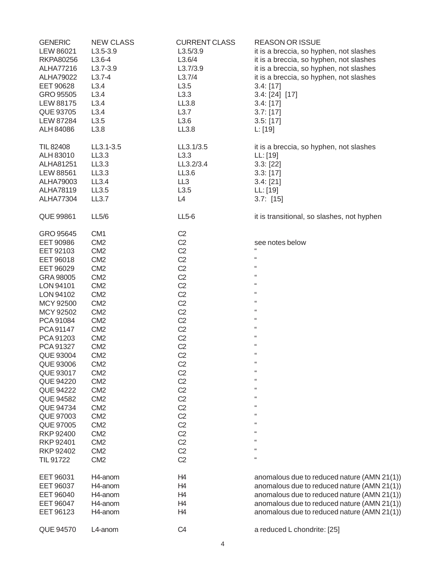| <b>GENERIC</b><br>LEW 86021<br><b>RKPA80256</b><br>ALHA77216<br><b>ALHA79022</b><br>EET 90628<br>GRO 95505<br><b>LEW 88175</b><br>QUE 93705<br><b>LEW 87284</b><br>ALH 84086 | <b>NEW CLASS</b><br>$L3.5 - 3.9$<br>$L3.6 - 4$<br>$L3.7 - 3.9$<br>$L3.7 - 4$<br>L3.4<br>L3.4<br>L3.4<br>L3.4<br>L3.5<br>L3.8                                                               | <b>CURRENT CLASS</b><br>L3.5/3.9<br>L3.6/4<br>L3.7/3.9<br>L3.7/4<br>L3.5<br>L3.3<br>LL3.8<br>L3.7<br>L3.6<br>LL3.8                                                               | <b>REASON OR ISSUE</b><br>it is a breccia, so hyphen, not slashes<br>it is a breccia, so hyphen, not slashes<br>it is a breccia, so hyphen, not slashes<br>it is a breccia, so hyphen, not slashes<br>3.4: [17]<br>3.4: [24] [17]<br>3.4: [17]<br>3.7: [17]<br>3.5: [17] |
|------------------------------------------------------------------------------------------------------------------------------------------------------------------------------|--------------------------------------------------------------------------------------------------------------------------------------------------------------------------------------------|----------------------------------------------------------------------------------------------------------------------------------------------------------------------------------|--------------------------------------------------------------------------------------------------------------------------------------------------------------------------------------------------------------------------------------------------------------------------|
| TIL 82408<br>ALH 83010<br>ALHA81251<br><b>LEW 88561</b><br>ALHA79003<br><b>ALHA78119</b><br><b>ALHA77304</b>                                                                 | LL3.1-3.5<br>LL3.3<br>LL3.3<br>LL3.3<br>LL3.4<br>LL3.5<br>LL3.7                                                                                                                            | LL3.1/3.5<br>L3.3<br>LL3.2/3.4<br>LL3.6<br>LL3<br>L3.5<br>L4                                                                                                                     | L: [19]<br>it is a breccia, so hyphen, not slashes<br>LL: [19]<br>3.3: [22]<br>3.3: [17]<br>3.4: [21]<br>LL: [19]<br>$3.7:$ [15]                                                                                                                                         |
| <b>QUE 99861</b>                                                                                                                                                             | LL5/6                                                                                                                                                                                      | $LL5-6$                                                                                                                                                                          | it is transitional, so slashes, not hyphen                                                                                                                                                                                                                               |
| GRO 95645<br>EET 90986<br>EET 92103<br>EET 96018<br>EET 96029<br>GRA 98005<br>LON 94101<br>LON 94102<br>MCY 92500<br>MCY 92502                                               | CM <sub>1</sub><br>CM <sub>2</sub><br>CM <sub>2</sub><br>CM <sub>2</sub><br>CM <sub>2</sub><br>CM <sub>2</sub><br>CM <sub>2</sub><br>CM <sub>2</sub><br>CM <sub>2</sub><br>CM <sub>2</sub> | C <sub>2</sub><br>C <sub>2</sub><br>C <sub>2</sub><br>C <sub>2</sub><br>C <sub>2</sub><br>C <sub>2</sub><br>C <sub>2</sub><br>C <sub>2</sub><br>C <sub>2</sub><br>C <sub>2</sub> | see notes below<br>"<br>"<br>66<br>66<br>66<br>66<br>66<br>66                                                                                                                                                                                                            |
| PCA 91084<br>PCA 91147<br>PCA 91203<br>PCA 91327<br>QUE 93004<br>QUE 93006<br>QUE 93017                                                                                      | CM <sub>2</sub><br>CM <sub>2</sub><br>CM <sub>2</sub><br>CM <sub>2</sub><br>CM <sub>2</sub><br>CM <sub>2</sub><br>CM <sub>2</sub>                                                          | C <sub>2</sub><br>C <sub>2</sub><br>C <sub>2</sub><br>C <sub>2</sub><br>C <sub>2</sub><br>C <sub>2</sub><br>C <sub>2</sub>                                                       | 66<br>66<br>66<br>"<br>66<br>$\epsilon$                                                                                                                                                                                                                                  |
| QUE 94220<br><b>QUE 94222</b><br>QUE 94582<br>QUE 94734<br>QUE 97003<br>QUE 97005                                                                                            | CM <sub>2</sub><br>CM <sub>2</sub><br>CM <sub>2</sub><br>CM <sub>2</sub><br>CM <sub>2</sub><br>CM <sub>2</sub>                                                                             | C <sub>2</sub><br>C <sub>2</sub><br>C <sub>2</sub><br>C <sub>2</sub><br>C <sub>2</sub><br>C <sub>2</sub>                                                                         | 66<br>66<br>66<br>66<br>66<br>66                                                                                                                                                                                                                                         |
| <b>RKP 92400</b><br>RKP 92401<br><b>RKP 92402</b><br>TIL 91722                                                                                                               | CM <sub>2</sub><br>CM <sub>2</sub><br>CM <sub>2</sub><br>CM <sub>2</sub>                                                                                                                   | C <sub>2</sub><br>C <sub>2</sub><br>C <sub>2</sub><br>C <sub>2</sub>                                                                                                             | 66<br>66<br>66<br>66                                                                                                                                                                                                                                                     |
| EET 96031<br>EET 96037<br>EET 96040<br><b>EET 96047</b><br>EET 96123                                                                                                         | H4-anom<br>H4-anom<br>H4-anom<br>H4-anom<br>H4-anom                                                                                                                                        | H4<br>H <sub>4</sub><br>H <sub>4</sub><br>H4<br>H <sub>4</sub>                                                                                                                   | anomalous due to reduced nature (AMN 21(1))<br>anomalous due to reduced nature (AMN 21(1))<br>anomalous due to reduced nature (AMN 21(1))<br>anomalous due to reduced nature (AMN 21(1))<br>anomalous due to reduced nature (AMN 21(1))                                  |
| <b>QUE 94570</b>                                                                                                                                                             | L4-anom                                                                                                                                                                                    | C <sub>4</sub>                                                                                                                                                                   | a reduced L chondrite: [25]                                                                                                                                                                                                                                              |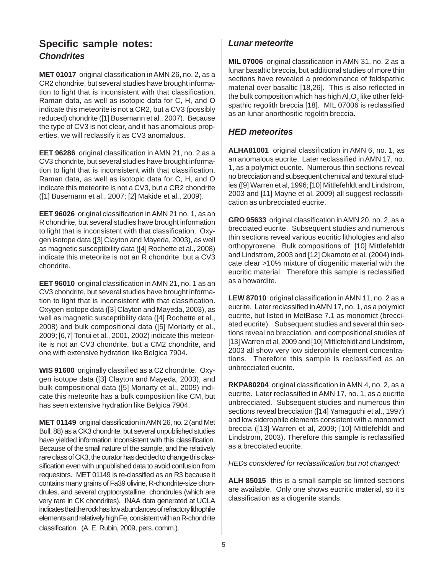#### *Chondrites* **Specific sample notes:**

**MET 01017** original classification in AMN 26, no. 2, as a CR2 chondrite, but several studies have brought information to light that is inconsistent with that classification. Raman data, as well as isotopic data for C, H, and O indicate this meteorite is not a CR2, but a CV3 (possibly reduced) chondrite ([1] Busemann et al., 2007). Because the type of CV3 is not clear, and it has anomalous properties, we will reclassify it as CV3 anomalous.

**EET 96286** original classification in AMN 21, no. 2 as a CV3 chondrite, but several studies have brought information to light that is inconsistent with that classification. Raman data, as well as isotopic data for C, H, and O indicate this meteorite is not a CV3, but a CR2 chondrite ([1] Busemann et al., 2007; [2] Makide et al., 2009).

**EET 96026** original classification in AMN 21 no. 1, as an R chondrite, but several studies have brought information to light that is inconsistent with that classification. Oxygen isotope data ([3] Clayton and Mayeda, 2003), as well as magnetic susceptibility data ([4] Rochette et al., 2008) indicate this meteorite is not an R chondrite, but a CV3 chondrite.

**EET 96010** original classification in AMN 21, no. 1 as an CV3 chondrite, but several studies have brought information to light that is inconsistent with that classification. Oxygen isotope data ([3] Clayton and Mayeda, 2003), as well as magnetic susceptibility data ([4] Rochette et al., 2008) and bulk compositional data ([5] Moriarty et al., 2009; [6,7] Tonui et al., 2001, 2002) indicate this meteorite is not an CV3 chondrite, but a CM2 chondrite, and one with extensive hydration like Belgica 7904.

**WIS 91600** originally classified as a C2 chondrite. Oxygen isotope data ([3] Clayton and Mayeda, 2003), and bulk compositional data ([5] Moriarty et al., 2009) indicate this meteorite has a bulk composition like CM, but has seen extensive hydration like Belgica 7904.

**MET 01149** original classification in AMN 26, no. 2 (and Met Bull. 88) as a CK3 chondrite, but several unpublished studies have yielded information inconsistent with this classification. Because of the small nature of the sample, and the relatively rare class of CK3, the curator has decided to change this classification even with unpublished data to avoid confusion from requestors. MET 01149 is re-classified as an R3 because it contains many grains of Fa39 olivine, R-chondrite-size chondrules, and several cryptocrystalline chondrules (which are very rare in CK chondrites). INAA data generated at UCLA indicates that the rock has low abundances of refractory lithophile elements and relatively high Fe, consistent with an R-chondrite classification. (A. E. Rubin, 2009, pers. comm.).

#### *Lunar meteorite*

**MIL 07006** original classification in AMN 31, no. 2 as a lunar basaltic breccia, but additional studies of more thin sections have revealed a predominance of feldspathic material over basaltic [18,26]. This is also reflected in the bulk composition which has high Al $_2\mathsf{O}_3$  like other feldspathic regolith breccia [18]. MIL 07006 is reclassified as an lunar anorthositic regolith breccia.

#### *HED meteorites*

**ALHA81001** original classification in AMN 6, no. 1, as an anomalous eucrite. Later reclassified in AMN 17, no. 1, as a polymict eucrite. Numerous thin sections reveal no brecciation and subsequent chemical and textural studies ([9] Warren et al, 1996; [10] Mittlefehldt and Lindstrom, 2003 and [11] Mayne et al. 2009) all suggest reclassification as unbrecciated eucrite.

**GRO 95633** original classification in AMN 20, no. 2, as a brecciated eucrite. Subsequent studies and numerous thin sections reveal various eucritic lithologies and also orthopyroxene. Bulk compositions of [10] Mittlefehldt and Lindstrom, 2003 and [12] Okamoto et al. (2004) indicate clear >10% mixture of diogenitic material with the eucritic material. Therefore this sample is reclassified as a howardite.

**LEW 87010** original classification in AMN 11, no. 2 as a eucrite. Later reclassified in AMN 17, no. 1, as a polymict eucrite, but listed in MetBase 7.1 as monomict (brecciated eucrite). Subsequent studies and several thin sections reveal no brecciation, and compositional studies of [13] Warren et al, 2009 and [10] Mittlefehldt and Lindstrom, 2003 all show very low siderophile element concentrations. Therefore this sample is reclassified as an unbrecciated eucrite.

**RKPA80204** original classification in AMN 4, no. 2, as a eucrite. Later reclassified in AMN 17, no. 1, as a eucrite unbrecciated. Subsequent studies and numerous thin sections reveal brecciation ([14] Yamaguchi et al., 1997) and low siderophile elements consistent with a monomict breccia ([13] Warren et al, 2009; [10] Mittlefehldt and Lindstrom, 2003). Therefore this sample is reclassified as a brecciated eucrite.

*HEDs considered for reclassification but not changed:*

**ALH 85015** this is a small sample so limited sections are available. Only one shows eucritic material, so it's classification as a diogenite stands.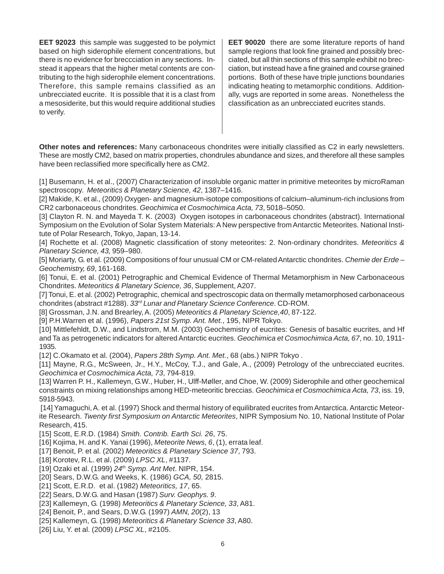**EET 92023** this sample was suggested to be polymict based on high siderophile element concentrations, but there is no evidence for breccciation in any sections. Instead it appears that the higher metal contents are contributing to the high siderophile element concentrations. Therefore, this sample remains classified as an unbrecciated eucrite. It is possible that it is a clast from a mesosiderite, but this would require additional studies to verify.

**EET 90020** there are some literature reports of hand sample regions that look fine grained and possibly brecciated, but all thin sections of this sample exhibit no brecciation, but instead have a fine grained and course grained portions. Both of these have triple junctions boundaries indicating heating to metamorphic conditions. Additionally, vugs are reported in some areas. Nonetheless the classification as an unbrecciated eucrites stands.

**Other notes and references:** Many carbonaceous chondrites were initially classified as C2 in early newsletters. These are mostly CM2, based on matrix properties, chondrules abundance and sizes, and therefore all these samples have been reclassified more specifically here as CM2.

[1] Busemann, H. et al., (2007) Characterization of insoluble organic matter in primitive meteorites by microRaman spectroscopy. *Meteoritics & Planetary Science, 42*, 1387–1416.

[2] Makide, K. et al., (2009) Oxygen- and magnesium-isotope compositions of calcium–aluminum-rich inclusions from CR2 carbonaceous chondrites. *Geochimica et Cosmochimica Acta, 73*, 5018–5050.

[3] Clayton R. N. and Mayeda T. K. (2003) Oxygen isotopes in carbonaceous chondrites (abstract). International Symposium on the Evolution of Solar System Materials: A New perspective from Antarctic Meteorites. National Institute of Polar Research, Tokyo, Japan, 13-14.

[4] Rochette et al. (2008) Magnetic classification of stony meteorites: 2. Non-ordinary chondrites. *Meteoritics & Planetary Science, 43,* 959–980.

[5] Moriarty, G. et al. (2009) Compositions of four unusual CM or CM-related Antarctic chondrites. *Chemie der Erde – Geochemistry, 69*, 161-168.

[6] Tonui, E. et al. (2001) Petrographic and Chemical Evidence of Thermal Metamorphism in New Carbonaceous Chondrites. *Meteoritics & Planetary Science, 36*, Supplement, A207.

[7] Tonui, E. et al. (2002) Petrographic, chemical and spectroscopic data on thermally metamorphosed carbonaceous chondrites (abstract #1288). *33rd Lunar and Planetary Science Conference*. CD-ROM.

[8] Grossman, J.N. and Brearley, A. (2005) *Meteoritics & Planetary Science,40*, 87-122.

[9] P.H.Warren et al. (1996), *Papers 21st Symp. Ant. Met.*, 195, NIPR Tokyo.

[10] Mittlefehldt, D.W., and Lindstrom, M.M. (2003) Geochemistry of eucrites: Genesis of basaltic eucrites, and Hf and Ta as petrogenetic indicators for altered Antarctic eucrites. *Geochimica et Cosmochimica Acta, 67*, no. 10, 1911- 1935.

[12] C.Okamato et al. (2004), *Papers 28th Symp. Ant. Met.*, 68 (abs.) NIPR Tokyo .

[11] Mayne, R.G., McSween, Jr., H.Y., McCoy, T.J., and Gale, A., (2009) Petrology of the unbrecciated eucrites. *Geochimica et Cosmochimica Acta, 73*, 794-819.

[13] Warren P. H., Kallemeyn, G.W., Huber, H., Ulff-Møller, and Choe, W. (2009) Siderophile and other geochemical constraints on mixing relationships among HED-meteoritic breccias. *Geochimica et Cosmochimica Acta, 73*, iss. 19, 5918-5943.

 [14] Yamaguchi, A. et al. (1997) Shock and thermal history of equilibrated eucrites from Antarctica. Antarctic Meteorite Research. *Twenty first Symposium on Antarctic Meteorites*, NIPR Symposium No. 10, National Institute of Polar Research, 415.

[15] Scott, E.R.D. (1984) *Smith. Contrib. Earth Sci. 26*, 75.

[16] Kojima, H. and K. Yanai (1996), *Meteorite News, 6*, (1), errata leaf.

[17] Benoit, P. et al. (2002) *Meteoritics & Planetary Science 37*, 793.

[18] Korotev, R.L. et al. (2009) *LPSC XL*, #1137.

[19] Ozaki et al. (1999) *24th Symp. Ant Met*. NIPR, 154.

- [20] Sears, D.W.G. and Weeks, K. (1986) *GCA, 50,* 2815.
- [21] Scott, E.R.D. et al. (1982) *Meteoritics, 17*, 65.
- [22] Sears, D.W.G. and Hasan (1987) *Surv. Geophys. 9*.
- [23] Kallemeyn, G. (1998) *Meteoritics & Planetary Science, 33*, A81.

[24] Benoit, P., and Sears, D.W.G. (1997) *AMN, 20*(2), 13

[25] Kallemeyn, G. (1998) *Meteoritics & Planetary Science 33*, A80.

[26] Liu, Y. et al. (2009) *LPSC XL*, #2105.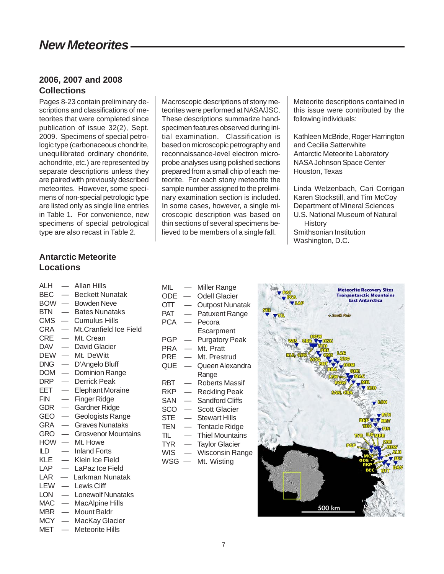## *New Meteorites*

#### **2006, 2007 and 2008 Collections**

Pages 8-23 contain preliminary descriptions and classifications of meteorites that were completed since publication of issue 32(2), Sept. 2009. Specimens of special petrologic type (carbonaceous chondrite, unequilibrated ordinary chondrite, achondrite, etc.) are represented by separate descriptions unless they are paired with previously described meteorites. However, some specimens of non-special petrologic type are listed only as single line entries in Table 1. For convenience, new specimens of special petrological type are also recast in Table 2.

Macroscopic descriptions of stony meteorites were performed at NASA/JSC. These descriptions summarize handspecimen features observed during initial examination. Classification is based on microscopic petrography and reconnaissance-level electron microprobe analyses using polished sections prepared from a small chip of each meteorite. For each stony meteorite the sample number assigned to the preliminary examination section is included. In some cases, however, a single microscopic description was based on thin sections of several specimens believed to be members of a single fall.

Meteorite descriptions contained in this issue were contributed by the following individuals:

Kathleen McBride, Roger Harrington and Cecilia Satterwhite Antarctic Meteorite Laboratory NASA Johnson Space Center Houston, Texas

Linda Welzenbach, Cari Corrigan Karen Stockstill, and Tim McCoy Department of Mineral Sciences U.S. National Museum of Natural **History** Smithsonian Institution Washington, D.C.

#### **Antarctic Meteorite Locations**

- ALH Allan Hills
- BEC Beckett Nunatak
- BOW Bowden Neve
- BTN Bates Nunataks
- CMS Cumulus Hills
- CRA Mt.Cranfield Ice Field
- CRE Mt. Crean
- DAV David Glacier
- DEW Mt. DeWitt
- DNG D'Angelo Bluff
- DOM Dominion Range
- DRP Derrick Peak
- EET Elephant Moraine
- FIN Finger Ridge
- GDR Gardner Ridge
- GEO Geologists Range
- GRA Graves Nunataks
- GRO Grosvenor Mountains
- HOW Mt. Howe
- ILD Inland Forts
- KLE Klein Ice Field
- LAP LaPaz Ice Field
- LAR Larkman Nunatak
- LEW Lewis Cliff
- LON Lonewolf Nunataks
- MAC MacAlpine Hills
- MBR Mount Baldr
- MCY MacKay Glacier
- MET Meteorite Hills
- MIL Miller Range
- ODE Odell Glacier
- OTT Outpost Nunatak
- PAT Patuxent Range
- PCA Pecora
	- **Escarpment**
- PGP Purgatory Peak
- PRA Mt. Pratt
- PRE Mt. Prestrud
- QUE Queen Alexandra Range
- RBT Roberts Massif
- RKP Reckling Peak
- SAN Sandford Cliffs
- SCO Scott Glacier
- STE Stewart Hills
- TEN Tentacle Ridge
- TIL Thiel Mountains
- TYR Taylor Glacier
- WIS Wisconsin Range
- WSG Mt. Wisting

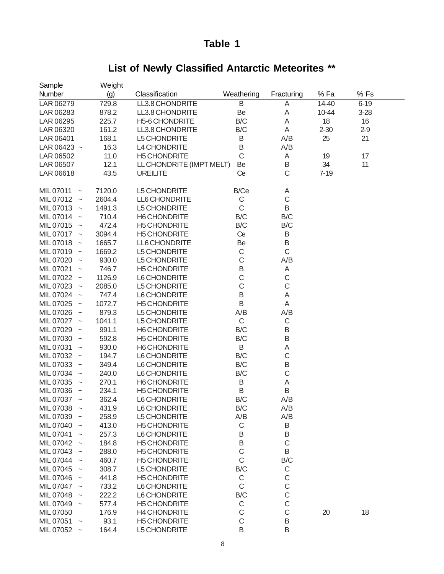## **List of Newly Classified Antarctic Meteorites \*\***

| Sample                                 | Weight |                          |             |                  |          |          |  |
|----------------------------------------|--------|--------------------------|-------------|------------------|----------|----------|--|
| Number                                 | (g)    | Classification           | Weathering  | Fracturing       | % Fa     | %Fs      |  |
| LAR 06279                              | 729.8  | LL3.8 CHONDRITE          | B           | A                | 14-40    | $6 - 19$ |  |
| LAR 06283                              | 878.2  | LL3.8 CHONDRITE          | Be          | A                | 10-44    | $3 - 28$ |  |
| LAR 06295                              | 225.7  | H5-6 CHONDRITE           | B/C         | A                | 18       | 16       |  |
| LAR 06320                              | 161.2  | LL3.8 CHONDRITE          | B/C         | Α                | $2 - 30$ | $2 - 9$  |  |
| LAR 06401                              | 168.1  | L5 CHONDRITE             | B           | A/B              | 25       | 21       |  |
|                                        | 16.3   | L4 CHONDRITE             | B           | A/B              |          |          |  |
| LAR 06423 $\sim$                       |        | <b>H5 CHONDRITE</b>      | $\mathsf C$ |                  |          | 17       |  |
| LAR 06502                              | 11.0   |                          |             | Α                | 19       |          |  |
| LAR 06507                              | 12.1   | LL CHONDRITE (IMPT MELT) | Be          | B<br>$\mathsf C$ | 34       | 11       |  |
| LAR 06618                              | 43.5   | <b>UREILITE</b>          | Ce          |                  | $7 - 19$ |          |  |
| MIL 07011<br>$\widetilde{\phantom{m}}$ | 7120.0 | L5 CHONDRITE             | B/Ce        | A                |          |          |  |
| MIL 07012<br>$\sim$                    | 2604.4 | LL6 CHONDRITE            | $\mathsf C$ | $\mathsf C$      |          |          |  |
| MIL 07013<br>$\sim$                    | 1491.3 | L5 CHONDRITE             | $\mathsf C$ | B                |          |          |  |
| MIL 07014<br>$\sim$                    | 710.4  | H6 CHONDRITE             | B/C         | B/C              |          |          |  |
| MIL 07015<br>$\sim$                    | 472.4  | <b>H5 CHONDRITE</b>      | B/C         | B/C              |          |          |  |
| MIL 07017 ~                            | 3094.4 | <b>H5 CHONDRITE</b>      | Ce          | Β                |          |          |  |
| MIL 07018                              | 1665.7 | LL6 CHONDRITE            | Be          | B                |          |          |  |
| $\sim$<br>MIL 07019                    | 1669.2 | L5 CHONDRITE             | $\mathsf C$ | $\mathsf C$      |          |          |  |
| $\sim$<br>MIL 07020                    | 930.0  | L5 CHONDRITE             | $\mathsf C$ | A/B              |          |          |  |
| $\sim$<br>MIL 07021                    |        |                          | $\sf B$     |                  |          |          |  |
| $\widetilde{\phantom{m}}$              | 746.7  | <b>H5 CHONDRITE</b>      | $\mathsf C$ | Α                |          |          |  |
| MIL 07022<br>$\sim$                    | 1126.9 | L6 CHONDRITE             | $\mathsf C$ | $\mathsf C$      |          |          |  |
| MIL 07023<br>$\sim$                    | 2085.0 | L5 CHONDRITE             |             | $\mathsf C$      |          |          |  |
| MIL 07024<br>$\sim$                    | 747.4  | L6 CHONDRITE             | $\sf B$     | A                |          |          |  |
| MIL 07025<br>$\sim$                    | 1072.7 | <b>H5 CHONDRITE</b>      | $\sf B$     | A                |          |          |  |
| MIL 07026<br>$\sim$                    | 879.3  | L5 CHONDRITE             | A/B         | A/B              |          |          |  |
| MIL 07027 ~                            | 1041.1 | L5 CHONDRITE             | $\mathsf C$ | $\mathsf C$      |          |          |  |
| MIL 07029<br>$\sim$                    | 991.1  | H6 CHONDRITE             | B/C         | Β                |          |          |  |
| MIL 07030<br>$\sim$                    | 592.8  | <b>H5 CHONDRITE</b>      | B/C         | $\sf B$          |          |          |  |
| MIL 07031<br>$\widetilde{\phantom{m}}$ | 930.0  | H6 CHONDRITE             | B           | A                |          |          |  |
| MIL 07032<br>$\sim$                    | 194.7  | L6 CHONDRITE             | B/C         | $\mathsf C$      |          |          |  |
| MIL 07033<br>$\sim$                    | 349.4  | L6 CHONDRITE             | B/C         | B                |          |          |  |
| MIL 07034<br>$\sim$                    | 240.0  | L6 CHONDRITE             | B/C         | $\mathsf C$      |          |          |  |
| MIL 07035<br>$\sim$                    | 270.1  | H6 CHONDRITE             | B           | A                |          |          |  |
| MIL 07036<br>$\sim$                    | 234.1  | <b>H5 CHONDRITE</b>      | B           | B                |          |          |  |
| MIL 07037<br>$\tilde{}$                | 362.4  | L6 CHONDRITE             | B/C         | A/B              |          |          |  |
| MIL 07038<br>$\sim$                    | 431.9  | L6 CHONDRITE             | B/C         | A/B              |          |          |  |
| MIL 07039                              | 258.9  | L5 CHONDRITE             | A/B         | A/B              |          |          |  |
| MIL 07040                              | 413.0  | <b>H5 CHONDRITE</b>      | $\mathsf C$ | Β                |          |          |  |
| MIL 07041                              | 257.3  | L6 CHONDRITE             | B           | B                |          |          |  |
| MIL 07042                              | 184.8  | <b>H5 CHONDRITE</b>      | B           | $\mathsf C$      |          |          |  |
| MIL 07043                              | 288.0  | <b>H5 CHONDRITE</b>      | $\mathsf C$ | B                |          |          |  |
| MIL 07044                              | 460.7  | <b>H5 CHONDRITE</b>      | $\mathsf C$ | B/C              |          |          |  |
| MIL 07045<br>$\sim$                    | 308.7  | L5 CHONDRITE             | B/C         | $\mathsf C$      |          |          |  |
| MIL 07046                              | 441.8  | <b>H5 CHONDRITE</b>      | $\mathsf C$ | $\mathsf C$      |          |          |  |
| MIL 07047 ~                            | 733.2  | L6 CHONDRITE             | $\mathsf C$ | $\mathsf{C}$     |          |          |  |
| MIL 07048                              | 222.2  | L6 CHONDRITE             | B/C         | $\mathsf C$      |          |          |  |
| MIL 07049 ~                            | 577.4  | <b>H5 CHONDRITE</b>      | $\mathsf C$ | $\mathsf C$      |          |          |  |
| MIL 07050                              | 176.9  | <b>H4 CHONDRITE</b>      | $\mathsf C$ | $\mathsf C$      | 20       | 18       |  |
| MIL 07051<br>$\widetilde{\phantom{m}}$ | 93.1   | <b>H5 CHONDRITE</b>      | $\mathsf C$ | $\sf B$          |          |          |  |
| MIL 07052 ~                            | 164.4  | L5 CHONDRITE             | B           | B                |          |          |  |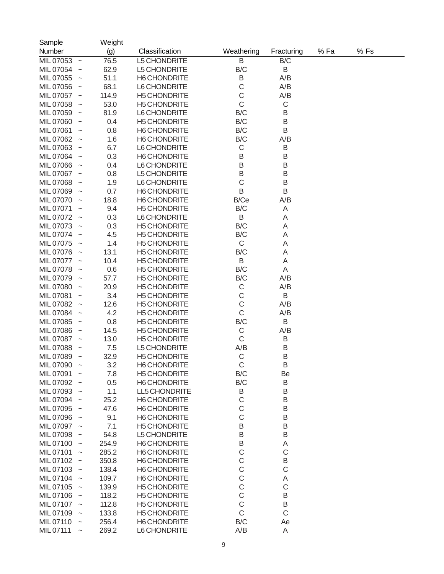| Sample<br>Number |                           | Weight<br>(g) | Classification      | Weathering  | Fracturing  | % Fa | %Fs |  |
|------------------|---------------------------|---------------|---------------------|-------------|-------------|------|-----|--|
| MIL 07053        | $\sim$                    | 76.5          | L5 CHONDRITE        | B           | B/C         |      |     |  |
| MIL 07054        | $\widetilde{\phantom{m}}$ | 62.9          | L5 CHONDRITE        | B/C         | B           |      |     |  |
| MIL 07055        |                           | 51.1          | H6 CHONDRITE        | B           | A/B         |      |     |  |
| MIL 07056        |                           | 68.1          | L6 CHONDRITE        | $\mathsf C$ | A/B         |      |     |  |
| MIL 07057        |                           | 114.9         | <b>H5 CHONDRITE</b> | $\mathsf C$ | A/B         |      |     |  |
| MIL 07058        |                           | 53.0          | <b>H5 CHONDRITE</b> | C           | $\mathsf C$ |      |     |  |
| MIL 07059        |                           | 81.9          | L6 CHONDRITE        | B/C         | B           |      |     |  |
| MIL 07060        |                           | 0.4           | <b>H5 CHONDRITE</b> | B/C         | B           |      |     |  |
| MIL 07061        |                           | 0.8           | H6 CHONDRITE        | B/C         | B           |      |     |  |
| MIL 07062        |                           | 1.6           | <b>H6 CHONDRITE</b> | B/C         | A/B         |      |     |  |
| MIL 07063        |                           | 6.7           | L6 CHONDRITE        | C           | B           |      |     |  |
| MIL 07064        |                           | 0.3           | <b>H6 CHONDRITE</b> | B           | B           |      |     |  |
| MIL 07066        |                           | 0.4           | L6 CHONDRITE        | B           | B           |      |     |  |
| MIL 07067        |                           | 0.8           | L5 CHONDRITE        | B           | $\sf B$     |      |     |  |
| MIL 07068        |                           | 1.9           | L6 CHONDRITE        | $\mathsf C$ | B           |      |     |  |
| MIL 07069        |                           | 0.7           | H6 CHONDRITE        | B           | B           |      |     |  |
| MIL 07070        |                           | 18.8          | H6 CHONDRITE        | B/Ce        | A/B         |      |     |  |
| MIL 07071        |                           | 9.4           | <b>H5 CHONDRITE</b> | B/C         | A           |      |     |  |
| MIL 07072        |                           | 0.3           | L6 CHONDRITE        | B           | A           |      |     |  |
| MIL 07073        |                           | 0.3           | <b>H5 CHONDRITE</b> | B/C         | A           |      |     |  |
| MIL 07074        |                           | 4.5           | <b>H5 CHONDRITE</b> | B/C         | A           |      |     |  |
| MIL 07075        |                           | 1.4           | <b>H5 CHONDRITE</b> | $\mathsf C$ | A           |      |     |  |
| MIL 07076        |                           | 13.1          | <b>H5 CHONDRITE</b> | B/C         | A           |      |     |  |
| MIL 07077        |                           | 10.4          | <b>H5 CHONDRITE</b> | B           | A           |      |     |  |
| MIL 07078        |                           | 0.6           | <b>H5 CHONDRITE</b> | B/C         | Α           |      |     |  |
| MIL 07079        |                           | 57.7          | <b>H5 CHONDRITE</b> | B/C         | A/B         |      |     |  |
| MIL 07080        |                           | 20.9          | <b>H5 CHONDRITE</b> | C           | A/B         |      |     |  |
| MIL 07081        |                           | 3.4           | <b>H5 CHONDRITE</b> | $\mathsf C$ | B           |      |     |  |
| MIL 07082        |                           | 12.6          | <b>H5 CHONDRITE</b> | $\mathsf C$ | A/B         |      |     |  |
| MIL 07084        |                           | 4.2           | <b>H5 CHONDRITE</b> | $\mathsf C$ | A/B         |      |     |  |
| MIL 07085        |                           | 0.8           | <b>H5 CHONDRITE</b> | B/C         | B           |      |     |  |
| MIL 07086        |                           | 14.5          | <b>H5 CHONDRITE</b> | $\mathsf C$ | A/B         |      |     |  |
| MIL 07087        |                           | 13.0          | <b>H5 CHONDRITE</b> | $\mathsf C$ | B           |      |     |  |
| MIL 07088        |                           | 7.5           | L5 CHONDRITE        | A/B         | B           |      |     |  |
| MIL 07089        | $\tilde{}$                | 32.9          | <b>H5 CHONDRITE</b> | $\mathsf C$ | B           |      |     |  |
| MIL 07090        |                           | 3.2           | H6 CHONDRITE        | $\mathsf C$ | B           |      |     |  |
| MIL 07091        |                           | 7.8           | H5 CHONDRITE        | B/C         | Be          |      |     |  |
| MIL 07092 ~      |                           | 0.5           | H6 CHONDRITE        | B/C         | B           |      |     |  |
| MIL 07093 ~      |                           | 1.1           | LL5 CHONDRITE       | Β           | B           |      |     |  |
| MIL 07094        |                           | 25.2          | H6 CHONDRITE        | C           | $\sf B$     |      |     |  |
| MIL 07095 ~      |                           | 47.6          | H6 CHONDRITE        | C           | $\sf B$     |      |     |  |
| MIL 07096 ~      |                           | 9.1           | H6 CHONDRITE        | $\mathsf C$ | $\sf B$     |      |     |  |
| MIL 07097 ~      |                           | 7.1           | <b>H5 CHONDRITE</b> | B           | $\sf B$     |      |     |  |
| MIL 07098        |                           | 54.8          | L5 CHONDRITE        | B           | $\sf B$     |      |     |  |
| MIL 07100 ~      |                           | 254.9         | H6 CHONDRITE        | B           | Α           |      |     |  |
| MIL 07101        |                           | 285.2         | H6 CHONDRITE        | C           | $\mathsf C$ |      |     |  |
| MIL 07102 ~      |                           | 350.8         | H6 CHONDRITE        | С           | $\sf B$     |      |     |  |
| MIL 07103 ~      |                           | 138.4         | H6 CHONDRITE        | C           | $\mathsf C$ |      |     |  |
| MIL 07104        |                           | 109.7         | H6 CHONDRITE        | C           | Α           |      |     |  |
| MIL 07105 ~      |                           | 139.9         | <b>H5 CHONDRITE</b> | C           | $\mathsf C$ |      |     |  |
| MIL 07106 ~      |                           | 118.2         | <b>H5 CHONDRITE</b> | C           | $\sf B$     |      |     |  |
| MIL 07107 ~      |                           | 112.8         | <b>H5 CHONDRITE</b> | $\mathsf C$ | $\sf B$     |      |     |  |
| MIL 07109        |                           | 133.8         | <b>H5 CHONDRITE</b> | $\mathsf C$ | $\mathsf C$ |      |     |  |
| MIL 07110        | $\widetilde{\phantom{m}}$ | 256.4         | H6 CHONDRITE        | B/C         | Ae          |      |     |  |
| MIL 07111        | $\widetilde{\phantom{m}}$ | 269.2         | L6 CHONDRITE        | A/B         | Α           |      |     |  |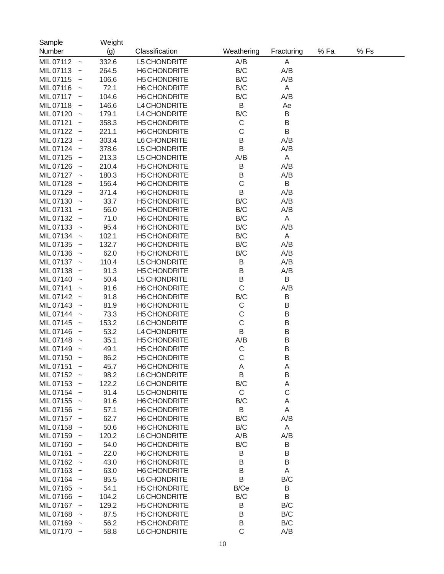| Sample                                 | Weight |                     |              |             |     |      |  |
|----------------------------------------|--------|---------------------|--------------|-------------|-----|------|--|
| Number                                 | (g)    | Classification      | Weathering   | Fracturing  | %Fa | % Fs |  |
| MIL 07112<br>$\widetilde{\phantom{m}}$ | 332.6  | L5 CHONDRITE        | A/B          | A           |     |      |  |
| MIL07113<br>$\tilde{}$                 | 264.5  | H6 CHONDRITE        | B/C          | A/B         |     |      |  |
| MIL07115<br>$\tilde{}$                 | 106.6  | <b>H5 CHONDRITE</b> | B/C          | A/B         |     |      |  |
| MIL07116<br>$\tilde{\phantom{a}}$      | 72.1   | <b>H6 CHONDRITE</b> | B/C          | A           |     |      |  |
| MIL 07117<br>$\tilde{}$                | 104.6  | <b>H6 CHONDRITE</b> | B/C          | A/B         |     |      |  |
| MIL07118<br>$\tilde{}$                 | 146.6  | L4 CHONDRITE        | B            | Ae          |     |      |  |
| MIL 07120<br>$\tilde{}$                | 179.1  | L4 CHONDRITE        | B/C          | B           |     |      |  |
| MIL 07121<br>$\tilde{}$                | 358.3  | <b>H5 CHONDRITE</b> | C            | B           |     |      |  |
| MIL 07122<br>$\tilde{}$                | 221.1  | <b>H6 CHONDRITE</b> | C            | B           |     |      |  |
| MIL 07123<br>$\tilde{}$                | 303.4  | L6 CHONDRITE        | B            | A/B         |     |      |  |
| MIL 07124<br>$\tilde{}$                | 378.6  | L5 CHONDRITE        | B            | A/B         |     |      |  |
| MIL 07125<br>$\tilde{}$                | 213.3  | L5 CHONDRITE        | A/B          | A           |     |      |  |
| MIL 07126                              | 210.4  | <b>H5 CHONDRITE</b> | Β            | A/B         |     |      |  |
| $\tilde{}$<br>MIL 07127                | 180.3  | <b>H5 CHONDRITE</b> | B            | A/B         |     |      |  |
| $\sim$<br>MIL 07128                    | 156.4  | <b>H6 CHONDRITE</b> | C            | B           |     |      |  |
| $\tilde{}$                             |        |                     | B            | A/B         |     |      |  |
| MIL 07129<br>$\tilde{}$                | 371.4  | <b>H6 CHONDRITE</b> |              | A/B         |     |      |  |
| MIL 07130<br>$\tilde{}$                | 33.7   | <b>H5 CHONDRITE</b> | B/C          |             |     |      |  |
| MIL 07131<br>$\tilde{}$                | 56.0   | <b>H6 CHONDRITE</b> | B/C          | A/B         |     |      |  |
| MIL 07132<br>$\sim$                    | 71.0   | <b>H6 CHONDRITE</b> | B/C          | A           |     |      |  |
| MIL 07133<br>$\sim$                    | 95.4   | <b>H6 CHONDRITE</b> | B/C          | A/B         |     |      |  |
| MIL 07134<br>$\tilde{}$                | 102.1  | <b>H5 CHONDRITE</b> | B/C          | A           |     |      |  |
| MIL 07135<br>$\tilde{}$                | 132.7  | <b>H6 CHONDRITE</b> | B/C          | A/B         |     |      |  |
| MIL 07136<br>$\tilde{}$                | 62.0   | <b>H5 CHONDRITE</b> | B/C          | A/B         |     |      |  |
| MIL 07137<br>$\sim$                    | 110.4  | L5 CHONDRITE        | Β            | A/B         |     |      |  |
| MIL 07138                              | 91.3   | <b>H5 CHONDRITE</b> | B            | A/B         |     |      |  |
| MIL 07140                              | 50.4   | L5 CHONDRITE        | B            | B           |     |      |  |
| MIL 07141<br>$\tilde{}$                | 91.6   | <b>H6 CHONDRITE</b> | $\mathsf C$  | A/B         |     |      |  |
| MIL 07142<br>$\tilde{}$                | 91.8   | <b>H6 CHONDRITE</b> | B/C          | B           |     |      |  |
| MIL 07143                              | 81.9   | <b>H6 CHONDRITE</b> | C            | B           |     |      |  |
| MIL 07144                              | 73.3   | <b>H5 CHONDRITE</b> | C            | B           |     |      |  |
| MIL 07145<br>$\tilde{}$                | 153.2  | L6 CHONDRITE        | C            | B           |     |      |  |
| MIL 07146                              | 53.2   | L4 CHONDRITE        | B            | B           |     |      |  |
| MIL 07148                              | 35.1   | <b>H5 CHONDRITE</b> | A/B          | B           |     |      |  |
| MIL 07149                              | 49.1   | <b>H5 CHONDRITE</b> | C            | B           |     |      |  |
| MIL 07150<br>$\sim$                    | 86.2   | <b>H5 CHONDRITE</b> | C            | B           |     |      |  |
| MIL 07151<br>$\tilde{\phantom{a}}$     | 45.7   | H6 CHONDRITE        | A            | A           |     |      |  |
| MIL 07152                              | 98.2   | L6 CHONDRITE        | B            | B           |     |      |  |
| MIL 07153                              | 122.2  | L6 CHONDRITE        | B/C          | A           |     |      |  |
| MIL 07154                              | 91.4   | L5 CHONDRITE        | C            | $\mathsf C$ |     |      |  |
| MIL 07155<br>$\sim$                    | 91.6   | H6 CHONDRITE        | B/C          | A           |     |      |  |
| MIL 07156 ~                            | 57.1   | H6 CHONDRITE        | B            | A           |     |      |  |
| MIL 07157 ~                            | 62.7   | H6 CHONDRITE        | B/C          | A/B         |     |      |  |
| MIL 07158 ~                            | 50.6   | H6 CHONDRITE        | B/C          | Α           |     |      |  |
| MIL 07159 ~                            | 120.2  | L6 CHONDRITE        | A/B          | A/B         |     |      |  |
| MIL 07160                              | 54.0   | H6 CHONDRITE        | B/C          | B           |     |      |  |
| MIL 07161                              | 22.0   | H6 CHONDRITE        | B            | B           |     |      |  |
| MIL 07162 ~                            | 43.0   | H6 CHONDRITE        | B            | B           |     |      |  |
| MIL 07163                              | 63.0   | H6 CHONDRITE        | B            | A           |     |      |  |
| MIL 07164                              | 85.5   | L6 CHONDRITE        | B            | B/C         |     |      |  |
| MIL 07165<br>$\sim$                    | 54.1   | <b>H5 CHONDRITE</b> | B/Ce         | Β           |     |      |  |
| MIL 07166                              | 104.2  | L6 CHONDRITE        | B/C          | $\sf B$     |     |      |  |
| MIL 07167                              | 129.2  | <b>H5 CHONDRITE</b> | B            | B/C         |     |      |  |
| MIL 07168<br>$\sim$                    | 87.5   | <b>H5 CHONDRITE</b> | B            | B/C         |     |      |  |
| MIL 07169 ~                            | 56.2   | <b>H5 CHONDRITE</b> | B            | B/C         |     |      |  |
| MIL 07170<br>$\sim$                    | 58.8   | L6 CHONDRITE        | $\mathsf{C}$ | A/B         |     |      |  |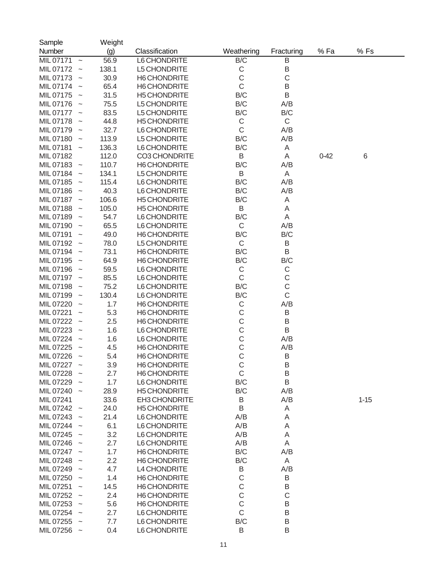| Sample      |                           | Weight |                     |              |             |          |          |  |
|-------------|---------------------------|--------|---------------------|--------------|-------------|----------|----------|--|
| Number      |                           | (g)    | Classification      | Weathering   | Fracturing  | %Fa      | %Fs      |  |
| MIL 07171   | $\thicksim$               | 56.9   | L6 CHONDRITE        | B/C          | B           |          |          |  |
| MIL 07172   | $\widetilde{\phantom{m}}$ | 138.1  | L5 CHONDRITE        | $\mathsf C$  | B           |          |          |  |
| MIL 07173   | $\widetilde{\phantom{m}}$ | 30.9   | H6 CHONDRITE        | C            | $\mathsf C$ |          |          |  |
| MIL 07174   | $\widetilde{\phantom{m}}$ | 65.4   | <b>H6 CHONDRITE</b> | $\mathsf C$  | B           |          |          |  |
| MIL 07175   | $\widetilde{\phantom{m}}$ | 31.5   | <b>H5 CHONDRITE</b> | B/C          | B           |          |          |  |
| MIL 07176   | $\widetilde{\phantom{m}}$ | 75.5   | L5 CHONDRITE        | B/C          | A/B         |          |          |  |
| MIL 07177   | $\widetilde{\phantom{m}}$ | 83.5   | L5 CHONDRITE        | B/C          | B/C         |          |          |  |
| MIL 07178   | $\widetilde{\phantom{m}}$ | 44.8   | <b>H5 CHONDRITE</b> | $\mathsf C$  | $\mathsf C$ |          |          |  |
| MIL 07179   | $\widetilde{\phantom{m}}$ | 32.7   | L6 CHONDRITE        | $\mathsf C$  | A/B         |          |          |  |
| MIL 07180   | $\widetilde{\phantom{m}}$ | 113.9  | L5 CHONDRITE        | B/C          | A/B         |          |          |  |
| MIL 07181   | $\widetilde{\phantom{m}}$ | 136.3  | L6 CHONDRITE        | B/C          | A           |          |          |  |
| MIL 07182   |                           | 112.0  | CO3 CHONDRITE       | B            | A           | $0 - 42$ | $\,6$    |  |
| MIL 07183   | $\widetilde{\phantom{m}}$ | 110.7  | <b>H6 CHONDRITE</b> | B/C          | A/B         |          |          |  |
| MIL 07184   | $\widetilde{\phantom{m}}$ | 134.1  | L5 CHONDRITE        | B            | A           |          |          |  |
| MIL 07185   | $\widetilde{\phantom{m}}$ | 115.4  | L6 CHONDRITE        | B/C          | A/B         |          |          |  |
| MIL 07186   | $\widetilde{\phantom{m}}$ | 40.3   | L6 CHONDRITE        | B/C          | A/B         |          |          |  |
| MIL 07187   | $\widetilde{\phantom{m}}$ | 106.6  | <b>H5 CHONDRITE</b> | B/C          | Α           |          |          |  |
| MIL 07188   | $\widetilde{\phantom{m}}$ | 105.0  | <b>H5 CHONDRITE</b> | B            | Α           |          |          |  |
| MIL 07189   | $\widetilde{\phantom{m}}$ | 54.7   | L6 CHONDRITE        | B/C          | Α           |          |          |  |
| MIL 07190   | $\widetilde{\phantom{m}}$ | 65.5   | L6 CHONDRITE        | $\mathsf{C}$ | A/B         |          |          |  |
| MIL 07191   | $\widetilde{\phantom{m}}$ | 49.0   | <b>H6 CHONDRITE</b> | B/C          | B/C         |          |          |  |
| MIL 07192   | $\widetilde{\phantom{m}}$ | 78.0   | L5 CHONDRITE        | $\mathsf C$  | Β           |          |          |  |
| MIL 07194   | $\widetilde{\phantom{m}}$ | 73.1   | <b>H6 CHONDRITE</b> | B/C          | B           |          |          |  |
| MIL 07195   | $\widetilde{\phantom{m}}$ | 64.9   | <b>H6 CHONDRITE</b> | B/C          | B/C         |          |          |  |
| MIL 07196   | $\widetilde{\phantom{m}}$ | 59.5   | L6 CHONDRITE        | $\mathsf C$  | C           |          |          |  |
| MIL 07197   | $\widetilde{\phantom{m}}$ | 85.5   | L6 CHONDRITE        | $\mathsf C$  | $\mathsf C$ |          |          |  |
| MIL 07198   | $\widetilde{\phantom{m}}$ | 75.2   | L6 CHONDRITE        | B/C          | $\mathsf C$ |          |          |  |
| MIL 07199   | $\widetilde{\phantom{m}}$ | 130.4  | L6 CHONDRITE        | B/C          | $\mathsf C$ |          |          |  |
| MIL 07220   | $\widetilde{\phantom{m}}$ | 1.7    | <b>H6 CHONDRITE</b> | $\mathsf C$  | A/B         |          |          |  |
| MIL 07221   | $\widetilde{\phantom{m}}$ | 5.3    | <b>H6 CHONDRITE</b> | C            | B           |          |          |  |
| MIL 07222   | $\widetilde{\phantom{m}}$ | 2.5    | <b>H6 CHONDRITE</b> | $\mathsf C$  | B           |          |          |  |
| MIL 07223   | $\widetilde{\phantom{m}}$ | 1.6    | L6 CHONDRITE        | $\mathsf C$  | B           |          |          |  |
| MIL 07224   | $\widetilde{\phantom{m}}$ | 1.6    | L6 CHONDRITE        | $\mathsf C$  | A/B         |          |          |  |
| MIL 07225   | $\tilde{}$                | 4.5    | H6 CHONDRITE        | $\mathsf C$  | A/B         |          |          |  |
| MIL 07226   | $\tilde{}$                | 5.4    | <b>H6 CHONDRITE</b> | C            | B           |          |          |  |
| MIL 07227   |                           | 3.9    | H6 CHONDRITE        | $\mathsf C$  | Β           |          |          |  |
| MIL 07228   |                           | 2.7    | H6 CHONDRITE        | $\mathsf C$  | B           |          |          |  |
| MIL 07229   |                           | 1.7    | L6 CHONDRITE        | B/C          | B           |          |          |  |
| MIL 07240 ~ |                           | 28.9   | <b>H5 CHONDRITE</b> | B/C          | A/B         |          |          |  |
| MIL 07241   |                           | 33.6   | EH3 CHONDRITE       | Β            | A/B         |          | $1 - 15$ |  |
| MIL 07242 ~ |                           | 24.0   | <b>H5 CHONDRITE</b> | B            | Α           |          |          |  |
| MIL 07243   |                           | 21.4   | L6 CHONDRITE        | A/B          | Α           |          |          |  |
| MIL 07244   |                           | 6.1    | L6 CHONDRITE        | A/B          | A           |          |          |  |
| MIL 07245   |                           | 3.2    | L6 CHONDRITE        | A/B          | A           |          |          |  |
| MIL 07246   |                           | 2.7    | L6 CHONDRITE        | A/B          | A           |          |          |  |
| MIL 07247 ~ |                           | 1.7    | H6 CHONDRITE        | B/C          | A/B         |          |          |  |
| MIL 07248   |                           | 2.2    | <b>H6 CHONDRITE</b> | B/C          | A           |          |          |  |
| MIL 07249   |                           | 4.7    | L4 CHONDRITE        | Β            | A/B         |          |          |  |
| MIL 07250 ~ |                           | 1.4    | <b>H6 CHONDRITE</b> | C            | B           |          |          |  |
| MIL 07251   |                           | 14.5   | <b>H6 CHONDRITE</b> | C            | B           |          |          |  |
| MIL 07252 ~ |                           | 2.4    | <b>H6 CHONDRITE</b> | $\mathsf C$  | $\mathsf C$ |          |          |  |
| MIL 07253 ~ |                           | 5.6    | H6 CHONDRITE        | $\mathsf C$  | $\sf B$     |          |          |  |
| MIL 07254   |                           | 2.7    | L6 CHONDRITE        | $\mathsf C$  | $\sf B$     |          |          |  |
| MIL 07255   | $\sim$                    | 7.7    | L6 CHONDRITE        | B/C          | B           |          |          |  |
| MIL 07256 ~ |                           | 0.4    | L6 CHONDRITE        | B            | B           |          |          |  |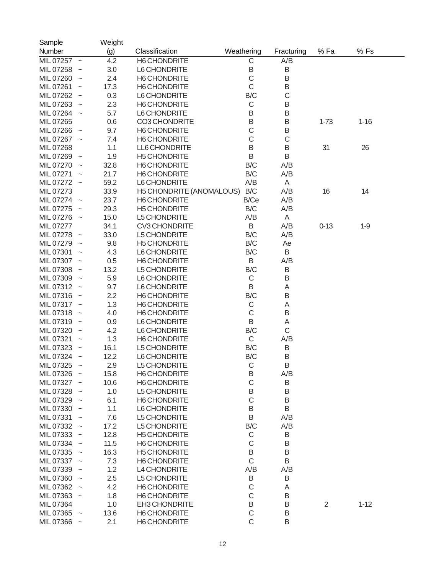| Sample                                 |                           | Weight |                                 |                  |             |                |          |
|----------------------------------------|---------------------------|--------|---------------------------------|------------------|-------------|----------------|----------|
| Number                                 |                           | (g)    | Classification                  | Weathering       | Fracturing  | %Fa            | % Fs     |
| MIL 07257 ~                            |                           | 4.2    | <b>H6 CHONDRITE</b>             | C                | A/B         |                |          |
| MIL 07258                              |                           | 3.0    | L6 CHONDRITE                    | B                | B           |                |          |
| MIL 07260<br>$\sim$                    |                           | 2.4    | <b>H6 CHONDRITE</b>             | $\mathsf C$      | $\sf B$     |                |          |
| MIL 07261<br>$\sim$                    |                           | 17.3   | <b>H6 CHONDRITE</b>             | C                | B           |                |          |
| MIL 07262 ~                            |                           | 0.3    | L6 CHONDRITE                    | B/C              | $\mathsf C$ |                |          |
| MIL 07263<br>$\sim$                    |                           | 2.3    | H6 CHONDRITE                    | $\mathsf C$      | $\sf B$     |                |          |
| MIL 07264 ~                            |                           | 5.7    | L6 CHONDRITE                    | B                | B           |                |          |
| MIL 07265                              |                           | 0.6    | <b>CO3 CHONDRITE</b>            | B                | B           | $1 - 73$       | $1 - 16$ |
| MIL 07266                              |                           | 9.7    | <b>H6 CHONDRITE</b>             | $\mathsf C$      | B           |                |          |
| $\sim$<br>MIL 07267 ~                  |                           | 7.4    | <b>H6 CHONDRITE</b>             | C                | $\mathsf C$ |                |          |
|                                        |                           |        |                                 | B                | B           | 31             |          |
| MIL 07268                              |                           | 1.1    | LL6 CHONDRITE                   |                  |             |                | 26       |
| MIL 07269<br>$\sim$                    |                           | 1.9    | <b>H5 CHONDRITE</b>             | B                | B           |                |          |
| MIL 07270<br>$\sim$                    |                           | 32.8   | H6 CHONDRITE                    | B/C              | A/B         |                |          |
| MIL 07271<br>$\sim$                    |                           | 21.7   | H6 CHONDRITE                    | B/C              | A/B         |                |          |
| MIL 07272 ~                            |                           | 59.2   | L6 CHONDRITE                    | A/B              | A           |                |          |
| MIL 07273                              |                           | 33.9   | <b>H5 CHONDRITE (ANOMALOUS)</b> | B/C              | A/B         | 16             | 14       |
| MIL 07274<br>$\sim$                    |                           | 23.7   | <b>H6 CHONDRITE</b>             | B/Ce             | A/B         |                |          |
| MIL 07275<br>$\sim$                    |                           | 29.3   | <b>H5 CHONDRITE</b>             | B/C              | A/B         |                |          |
| MIL 07276 ~                            |                           | 15.0   | L5 CHONDRITE                    | A/B              | A           |                |          |
| MIL 07277                              |                           | 34.1   | <b>CV3 CHONDRITE</b>            | B                | A/B         | $0 - 13$       | $1-9$    |
| MIL 07278<br>$\sim$                    |                           | 33.0   | L5 CHONDRITE                    | B/C              | A/B         |                |          |
| MIL 07279<br>$\widetilde{\phantom{m}}$ |                           | 9.8    | <b>H5 CHONDRITE</b>             | B/C              | Ae          |                |          |
| MIL 07301<br>$\sim$                    |                           | 4.3    | L6 CHONDRITE                    | B/C              | B           |                |          |
| MIL 07307 ~                            |                           | 0.5    | H6 CHONDRITE                    | B                | A/B         |                |          |
| MIL 07308                              |                           | 13.2   | L5 CHONDRITE                    | B/C              | B           |                |          |
| MIL 07309                              |                           | 5.9    | L6 CHONDRITE                    | $\mathsf C$      | B           |                |          |
| MIL 07312<br>$\sim$                    |                           | 9.7    | L6 CHONDRITE                    | B                | A           |                |          |
| MIL 07316<br>$\sim$                    |                           | 2.2    | <b>H6 CHONDRITE</b>             | B/C              | B           |                |          |
| MIL 07317<br>$\sim$                    |                           | 1.3    | <b>H6 CHONDRITE</b>             | $\mathsf C$      | A           |                |          |
| MIL 07318                              | $\widetilde{\phantom{m}}$ | 4.0    | H6 CHONDRITE                    | $\mathsf C$      | B           |                |          |
| MIL 07319<br>$\sim$                    |                           | 0.9    | L6 CHONDRITE                    | B                | A           |                |          |
| MIL 07320                              |                           | 4.2    | L6 CHONDRITE                    | B/C              | $\mathsf C$ |                |          |
| MIL 07321<br>$\sim$                    |                           | 1.3    | H6 CHONDRITE                    | $\mathsf C$      | A/B         |                |          |
| MIL 07323                              |                           | 16.1   | L5 CHONDRITE                    | B/C              | B           |                |          |
| MIL 07324<br>$\sim$                    |                           | 12.2   | L6 CHONDRITE                    | B/C              | B           |                |          |
| MIL 07325                              |                           | 2.9    | L5 CHONDRITE                    | $\mathsf C$      | B           |                |          |
| MIL 07326 ~                            |                           | 15.8   | H6 CHONDRITE                    | Β                | A/B         |                |          |
| MIL 07327 ~                            |                           | 10.6   | H6 CHONDRITE                    | $\mathsf C$      |             |                |          |
|                                        |                           |        |                                 |                  | B<br>B      |                |          |
| MIL 07328 ~                            |                           | 1.0    | L5 CHONDRITE                    | B<br>$\mathsf C$ |             |                |          |
| MIL 07329 ~                            |                           | 6.1    | H6 CHONDRITE                    |                  | B           |                |          |
| MIL 07330 ~                            |                           | 1.1    | L6 CHONDRITE                    | B                | B           |                |          |
| MIL 07331                              |                           | 7.6    | <b>L5 CHONDRITE</b>             | B                | A/B         |                |          |
| MIL 07332 ~                            |                           | 17.2   | L5 CHONDRITE                    | B/C              | A/B         |                |          |
| MIL 07333 ~                            |                           | 12.8   | <b>H5 CHONDRITE</b>             | C                | B           |                |          |
| MIL 07334 ~                            |                           | 11.5   | <b>H6 CHONDRITE</b>             | C                | B           |                |          |
| MIL 07335 ~                            |                           | 16.3   | <b>H5 CHONDRITE</b>             | B                | B           |                |          |
| MIL 07337 ~                            |                           | 7.3    | H6 CHONDRITE                    | $\mathsf{C}$     | B           |                |          |
| MIL 07339                              |                           | 1.2    | L4 CHONDRITE                    | A/B              | A/B         |                |          |
| MIL 07360 ~                            |                           | 2.5    | <b>L5 CHONDRITE</b>             | Β                | B           |                |          |
| MIL 07362 ~                            |                           | 4.2    | H6 CHONDRITE                    | C                | A           |                |          |
| MIL 07363 ~                            |                           | 1.8    | H6 CHONDRITE                    | C                | B           |                |          |
| MIL 07364                              |                           | 1.0    | <b>EH3 CHONDRITE</b>            | B                | B           | $\overline{2}$ | $1 - 12$ |
| MIL 07365 ~                            |                           | 13.6   | H6 CHONDRITE                    | $\mathsf C$      | B           |                |          |
| MIL 07366 ~                            |                           | 2.1    | H6 CHONDRITE                    | $\mathsf C$      | B           |                |          |
|                                        |                           |        |                                 |                  |             |                |          |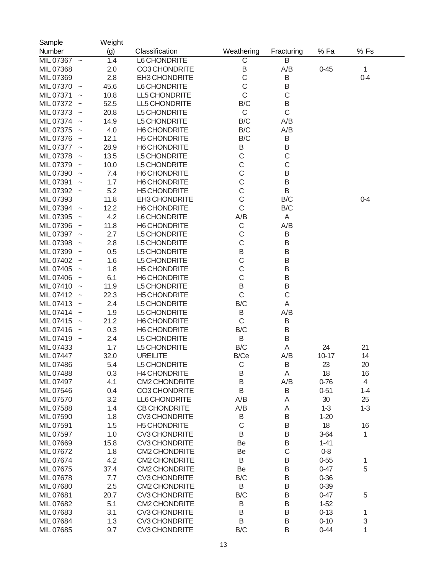| Sample                                 | Weight |                      |                         |            |           |                |
|----------------------------------------|--------|----------------------|-------------------------|------------|-----------|----------------|
| Number                                 | (g)    | Classification       | Weathering              | Fracturing | %Fa       | % Fs           |
| MIL 07367<br>$\widetilde{\phantom{m}}$ | 1.4    | L6 CHONDRITE         | $\overline{\mathrm{C}}$ | B          |           |                |
| MIL 07368                              | 2.0    | CO3 CHONDRITE        | $\sf B$                 | A/B        | $0 - 45$  | 1              |
| MIL 07369                              | 2.8    | EH3 CHONDRITE        | $\mathsf C$             | B          |           | $0 - 4$        |
| MIL 07370<br>$\widetilde{\phantom{m}}$ | 45.6   | L6 CHONDRITE         | $\mathsf C$             | B          |           |                |
| MIL 07371                              | 10.8   | LL5 CHONDRITE        | $\mathsf C$             | C          |           |                |
| MIL 07372                              | 52.5   | LL5 CHONDRITE        | B/C                     | B          |           |                |
| MIL 07373                              | 20.8   | L5 CHONDRITE         | $\mathsf C$             | C          |           |                |
| MIL 07374                              | 14.9   | L5 CHONDRITE         | B/C                     | A/B        |           |                |
| MIL 07375                              | 4.0    | <b>H6 CHONDRITE</b>  | B/C                     | A/B        |           |                |
| MIL 07376                              | 12.1   | <b>H5 CHONDRITE</b>  | B/C                     | B          |           |                |
| MIL 07377                              | 28.9   | H6 CHONDRITE         | Β                       | B          |           |                |
| MIL 07378                              | 13.5   | L5 CHONDRITE         | C                       | C          |           |                |
| MIL 07379                              | 10.0   | L5 CHONDRITE         | C                       | C          |           |                |
| MIL 07390                              | 7.4    | <b>H6 CHONDRITE</b>  | C                       | B          |           |                |
|                                        |        |                      | C                       |            |           |                |
| MIL 07391                              | 1.7    | H6 CHONDRITE         |                         | B          |           |                |
| MIL 07392 ~                            | 5.2    | <b>H5 CHONDRITE</b>  | C                       | B          |           |                |
| MIL 07393                              | 11.8   | EH3 CHONDRITE        | C                       | B/C        |           | $0 - 4$        |
| MIL 07394<br>$\widetilde{\phantom{m}}$ | 12.2   | H6 CHONDRITE         | C                       | B/C        |           |                |
| MIL 07395                              | 4.2    | L6 CHONDRITE         | A/B                     | Α          |           |                |
| MIL 07396                              | 11.8   | H6 CHONDRITE         | C                       | A/B        |           |                |
| MIL 07397                              | 2.7    | L5 CHONDRITE         | C                       | B          |           |                |
| MIL 07398                              | 2.8    | L5 CHONDRITE         | C                       | B          |           |                |
| MIL 07399                              | 0.5    | L5 CHONDRITE         | B                       | B          |           |                |
| MIL 07402                              | 1.6    | L5 CHONDRITE         | C                       | B          |           |                |
| MIL 07405                              | 1.8    | <b>H5 CHONDRITE</b>  | С                       | B          |           |                |
| MIL 07406                              | 6.1    | <b>H6 CHONDRITE</b>  | C                       | B          |           |                |
| MIL 07410                              | 11.9   | L5 CHONDRITE         | B                       | B          |           |                |
| MIL 07412                              | 22.3   | <b>H5 CHONDRITE</b>  | $\mathsf{C}$            | C          |           |                |
| MIL 07413                              | 2.4    | L5 CHONDRITE         | B/C                     | Α          |           |                |
| MIL 07414                              | 1.9    | L5 CHONDRITE         | B                       | A/B        |           |                |
| MIL 07415                              | 21.2   | H6 CHONDRITE         | C                       | B          |           |                |
| MIL 07416                              | 0.3    | H6 CHONDRITE         | B/C                     | B          |           |                |
| MIL 07419                              | 2.4    | L5 CHONDRITE         | B                       | B          |           |                |
| MIL 07433                              | 1.7    | L5 CHONDRITE         | B/C                     | Α          | 24        | 21             |
| MIL 07447                              | 32.0   | <b>UREILITE</b>      | B/Ce                    | A/B        | $10 - 17$ | 14             |
| MIL 07486                              | 5.4    | L5 CHONDRITE         | $\mathsf{C}$            | B          | 23        | 20             |
| MIL 07488                              | 0.3    | <b>H4 CHONDRITE</b>  | Β                       | Α          | 18        | 16             |
| MIL 07497                              | 4.1    | <b>CM2 CHONDRITE</b> | B                       | A/B        | $0 - 76$  | $\overline{4}$ |
| MIL 07546                              | 0.4    | CO3 CHONDRITE        | B                       | B          | $0 - 51$  | $1 - 4$        |
| MIL 07570                              | 3.2    | LL6 CHONDRITE        | A/B                     | Α          | 30        | 25             |
| MIL 07588                              | 1.4    | <b>CB CHONDRITE</b>  | A/B                     | Α          | $1 - 3$   | $1 - 3$        |
| MIL 07590                              | 1.8    | <b>CV3 CHONDRITE</b> | Β                       | B          | $1 - 20$  |                |
| MIL 07591                              | 1.5    | <b>H5 CHONDRITE</b>  | C                       | B          | 18        | 16             |
| MIL 07597                              | 1.0    | <b>CV3 CHONDRITE</b> | B                       | B          | $3 - 64$  | 1              |
| MIL 07669                              | 15.8   | <b>CV3 CHONDRITE</b> | Be                      | B          | $1 - 41$  |                |
| MIL 07672                              | 1.8    | <b>CM2 CHONDRITE</b> | Be                      | C          | $0-8$     |                |
| MIL 07674                              | 4.2    | <b>CM2 CHONDRITE</b> | B                       | B          | $0 - 55$  | 1              |
| MIL 07675                              | 37.4   | <b>CM2 CHONDRITE</b> | Be                      | B          | $0 - 47$  | 5              |
| MIL 07678                              | 7.7    | <b>CV3 CHONDRITE</b> | B/C                     | B          | $0 - 36$  |                |
| MIL 07680                              | 2.5    | <b>CM2 CHONDRITE</b> | B                       | B          | $0 - 39$  |                |
| MIL 07681                              | 20.7   | <b>CV3 CHONDRITE</b> | B/C                     | B          | $0 - 47$  | 5              |
|                                        |        |                      |                         |            |           |                |
| MIL 07682                              | 5.1    | <b>CM2 CHONDRITE</b> | Β                       | B          | $1 - 52$  |                |
| MIL 07683                              | 3.1    | <b>CV3 CHONDRITE</b> | B                       | B          | $0 - 13$  | 1              |
| MIL 07684                              | 1.3    | <b>CV3 CHONDRITE</b> | B                       | B          | $0 - 10$  | 3              |
| MIL 07685                              | 9.7    | <b>CV3 CHONDRITE</b> | B/C                     | B          | $0 - 44$  | 1              |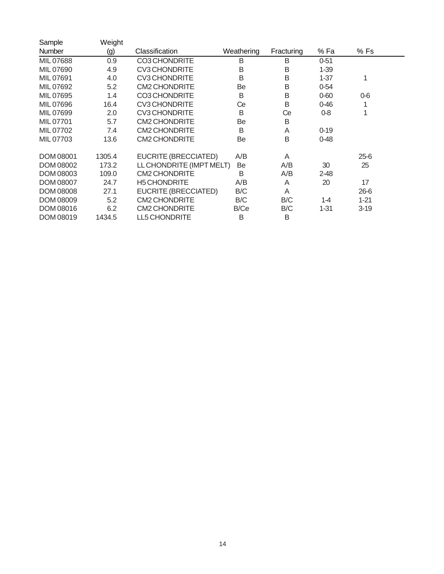| Sample           | Weight |                          |            |            |          |          |  |
|------------------|--------|--------------------------|------------|------------|----------|----------|--|
| <b>Number</b>    | (g)    | Classification           | Weathering | Fracturing | % Fa     | % Fs     |  |
| MIL 07688        | 0.9    | <b>CO3 CHONDRITE</b>     | B          | B          | $0 - 51$ |          |  |
| MIL 07690        | 4.9    | <b>CV3 CHONDRITE</b>     | B          | B          | $1 - 39$ |          |  |
| MIL 07691        | 4.0    | <b>CV3 CHONDRITE</b>     | B          | B          | $1 - 37$ | 1        |  |
| MIL 07692        | 5.2    | <b>CM2 CHONDRITE</b>     | Be         | B          | $0 - 54$ |          |  |
| MIL 07695        | 1.4    | <b>CO3 CHONDRITE</b>     | B          | B          | $0 - 60$ | $0-6$    |  |
| MIL 07696        | 16.4   | <b>CV3 CHONDRITE</b>     | Ce         | B          | $0 - 46$ |          |  |
| MIL 07699        | 2.0    | <b>CV3 CHONDRITE</b>     | B          | Ce         | $0 - 8$  | 1        |  |
| MIL 07701        | 5.7    | <b>CM2 CHONDRITE</b>     | Be         | B          |          |          |  |
| MIL 07702        | 7.4    | <b>CM2 CHONDRITE</b>     | B          | A          | $0 - 19$ |          |  |
| MIL 07703        | 13.6   | <b>CM2 CHONDRITE</b>     | Be         | B          | $0 - 48$ |          |  |
| <b>DOM 08001</b> | 1305.4 | EUCRITE (BRECCIATED)     | A/B        | A          |          | $25-6$   |  |
| DOM 08002        | 173.2  | LL CHONDRITE (IMPT MELT) | Be         | A/B        | 30       | 25       |  |
| DOM 08003        | 109.0  | <b>CM2 CHONDRITE</b>     | B          | A/B        | $2 - 48$ |          |  |
| <b>DOM 08007</b> | 24.7   | <b>H5 CHONDRITE</b>      | A/B        | A          | 20       | 17       |  |
| <b>DOM 08008</b> | 27.1   | EUCRITE (BRECCIATED)     | B/C        | A          |          | $26 - 6$ |  |
| <b>DOM 08009</b> | 5.2    | <b>CM2 CHONDRITE</b>     | B/C        | B/C        | $1 - 4$  | $1 - 21$ |  |
| <b>DOM 08016</b> | 6.2    | <b>CM2 CHONDRITE</b>     | B/Ce       | B/C        | $1 - 31$ | $3-19$   |  |
| <b>DOM 08019</b> | 1434.5 | <b>LL5 CHONDRITE</b>     | B          | B          |          |          |  |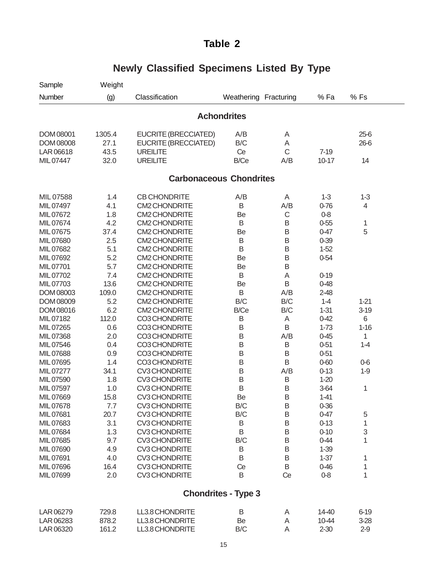| Sample    | Weight |                                |                            |     |          |          |  |
|-----------|--------|--------------------------------|----------------------------|-----|----------|----------|--|
| Number    | (g)    | Classification                 | Weathering Fracturing      |     | %Fa      | %Fs      |  |
|           |        |                                | <b>Achondrites</b>         |     |          |          |  |
| DOM 08001 | 1305.4 | EUCRITE (BRECCIATED)           | A/B                        | A   |          | $25-6$   |  |
| DOM 08008 | 27.1   | EUCRITE (BRECCIATED)           | B/C                        | Α   |          | 26-6     |  |
| LAR 06618 | 43.5   | <b>UREILITE</b>                | Ce                         | C   | $7-19$   |          |  |
| MIL 07447 | 32.0   | <b>UREILITE</b>                | B/Ce                       | A/B | $10-17$  | 14       |  |
|           |        | <b>Carbonaceous Chondrites</b> |                            |     |          |          |  |
| MIL 07588 | 1.4    | <b>CB CHONDRITE</b>            | A/B                        | A   | $1 - 3$  | $1 - 3$  |  |
| MIL 07497 | 4.1    | <b>CM2 CHONDRITE</b>           | B                          | A/B | $0 - 76$ | 4        |  |
| MIL07672  | 1.8    | <b>CM2 CHONDRITE</b>           | Be                         | C   | $0 - 8$  |          |  |
| MIL07674  | 4.2    | <b>CM2 CHONDRITE</b>           | B                          | B   | $0 - 55$ | 1        |  |
| MIL07675  | 37.4   | <b>CM2 CHONDRITE</b>           | Be                         | B   | $0 - 47$ | 5        |  |
| MIL07680  | 2.5    | <b>CM2 CHONDRITE</b>           | B                          | B   | $0 - 39$ |          |  |
| MIL07682  | 5.1    | <b>CM2 CHONDRITE</b>           | B                          | B   | $1 - 52$ |          |  |
| MIL07692  | 5.2    | <b>CM2 CHONDRITE</b>           | Be                         | B   | $0 - 54$ |          |  |
| MIL07701  | 5.7    | <b>CM2 CHONDRITE</b>           | Be                         | B   |          |          |  |
| MIL07702  | 7.4    | <b>CM2 CHONDRITE</b>           | B                          | Α   | $0 - 19$ |          |  |
| MIL07703  | 13.6   | <b>CM2 CHONDRITE</b>           | Be                         | B   | $0 - 48$ |          |  |
| DOM 08003 | 109.0  | <b>CM2 CHONDRITE</b>           | B                          | A/B | $2 - 48$ |          |  |
| DOM 08009 | 5.2    | <b>CM2 CHONDRITE</b>           | B/C                        | B/C | $1 - 4$  | $1 - 21$ |  |
| DOM 08016 | 6.2    | <b>CM2 CHONDRITE</b>           | B/Ce                       | B/C | $1 - 31$ | $3 - 19$ |  |
| MIL07182  | 112.0  | CO3 CHONDRITE                  | B                          | Α   | $0 - 42$ | 6        |  |
| MIL07265  | 0.6    | CO3 CHONDRITE                  | B                          | B   | $1 - 73$ | $1 - 16$ |  |
| MIL07368  | 2.0    | CO3 CHONDRITE                  | B                          | A/B | $0 - 45$ | 1        |  |
| MIL 07546 | 0.4    | CO3 CHONDRITE                  | B                          | B   | $0 - 51$ | $1 - 4$  |  |
| MIL07688  | 0.9    | CO3 CHONDRITE                  | B                          | B   | $0 - 51$ |          |  |
| MIL07695  | 1.4    | CO3 CHONDRITE                  | B                          | B   | $0 - 60$ | $0-6$    |  |
| MIL07277  | 34.1   | <b>CV3 CHONDRITE</b>           | B                          | A/B | $0 - 13$ | $1-9$    |  |
| MIL07590  | 1.8    | <b>CV3 CHONDRITE</b>           | B                          | B   | $1 - 20$ |          |  |
| MIL07597  | 1.0    | <b>CV3 CHONDRITE</b>           | B                          | Β   | $3-64$   | 1        |  |
| MIL07669  | 15.8   | <b>CV3 CHONDRITE</b>           | Be                         | B   | $1 - 41$ |          |  |
| MIL07678  | 7.7    | <b>CV3 CHONDRITE</b>           | B/C                        | B   | $0 - 36$ |          |  |
| MIL07681  | 20.7   | <b>CV3 CHONDRITE</b>           | B/C                        | B   | $0 - 47$ | 5        |  |
| MIL07683  | 3.1    | <b>CV3 CHONDRITE</b>           | B                          | Β   | $0 - 13$ | 1        |  |
| MIL07684  | 1.3    | <b>CV3 CHONDRITE</b>           | B                          | Β   | $0 - 10$ | 3        |  |
| MIL07685  | 9.7    | <b>CV3 CHONDRITE</b>           | B/C                        | Β   | $0 - 44$ | 1        |  |
| MIL07690  | 4.9    | <b>CV3 CHONDRITE</b>           | B                          | Β   | $1 - 39$ |          |  |
| MIL07691  | 4.0    | <b>CV3 CHONDRITE</b>           | B                          | B   | $1 - 37$ | 1        |  |
| MIL07696  | 16.4   | <b>CV3 CHONDRITE</b>           | Ce                         | B   | $0 - 46$ | 1        |  |
| MIL07699  | 2.0    | <b>CV3 CHONDRITE</b>           | B                          | Ce  | $0 - 8$  | 1        |  |
|           |        |                                | <b>Chondrites - Type 3</b> |     |          |          |  |
| LAR 06279 | 729.8  | LL3.8 CHONDRITE                | B                          | A   | 14-40    | $6 - 19$ |  |

## **Newly Classified Specimens Listed By Type**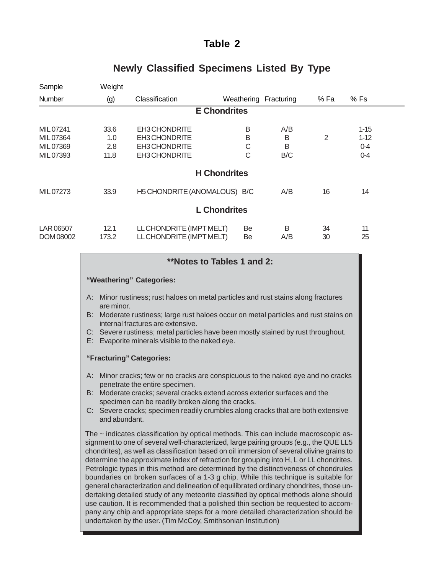| Sample                                          | Weight                     |                                                                  |                       |                      |          |                                            |  |
|-------------------------------------------------|----------------------------|------------------------------------------------------------------|-----------------------|----------------------|----------|--------------------------------------------|--|
| Number                                          | (g)                        | Classification                                                   | Weathering Fracturing |                      | % Fa     | % Fs                                       |  |
|                                                 |                            |                                                                  | <b>E</b> Chondrites   |                      |          |                                            |  |
| MIL 07241<br>MIL07364<br>MIL 07369<br>MIL 07393 | 33.6<br>1.0<br>2.8<br>11.8 | EH3 CHONDRITE<br>EH3 CHONDRITE<br>EH3 CHONDRITE<br>EH3 CHONDRITE | B<br>B<br>С<br>С      | A/B<br>B<br>B<br>B/C | 2        | $1 - 15$<br>$1 - 12$<br>$0 - 4$<br>$0 - 4$ |  |
|                                                 |                            |                                                                  | <b>H</b> Chondrites   |                      |          |                                            |  |
| MIL 07273                                       | 33.9                       | H5 CHONDRITE (ANOMALOUS) B/C                                     |                       | A/B                  | 16       | 14                                         |  |
|                                                 |                            |                                                                  | <b>L</b> Chondrites   |                      |          |                                            |  |
| LAR 06507<br>DOM 08002                          | 12.1<br>173.2              | LL CHONDRITE (IMPT MELT)<br>LL CHONDRITE (IMPT MELT)             | Be<br>Be              | B<br>A/B             | 34<br>30 | 11<br>25                                   |  |

#### **Newly Classified Specimens Listed By Type**

#### **\*\*Notes to Tables 1 and 2:**

#### **"Weathering" Categories:**

- A: Minor rustiness; rust haloes on metal particles and rust stains along fractures are minor.
- B: Moderate rustiness; large rust haloes occur on metal particles and rust stains on internal fractures are extensive.
- C: Severe rustiness; metal particles have been mostly stained by rust throughout.
- E: Evaporite minerals visible to the naked eye.

#### **"Fracturing" Categories:**

- A: Minor cracks; few or no cracks are conspicuous to the naked eye and no cracks penetrate the entire specimen.
- B: Moderate cracks; several cracks extend across exterior surfaces and the specimen can be readily broken along the cracks.
- C: Severe cracks; specimen readily crumbles along cracks that are both extensive and abundant.

The  $\sim$  indicates classification by optical methods. This can include macroscopic assignment to one of several well-characterized, large pairing groups (e.g., the QUE LL5 chondrites), as well as classification based on oil immersion of several olivine grains to determine the approximate index of refraction for grouping into H, L or LL chondrites. Petrologic types in this method are determined by the distinctiveness of chondrules boundaries on broken surfaces of a 1-3 g chip. While this technique is suitable for general characterization and delineation of equilibrated ordinary chondrites, those undertaking detailed study of any meteorite classified by optical methods alone should use caution. It is recommended that a polished thin section be requested to accompany any chip and appropriate steps for a more detailed characterization should be undertaken by the user. (Tim McCoy, Smithsonian Institution)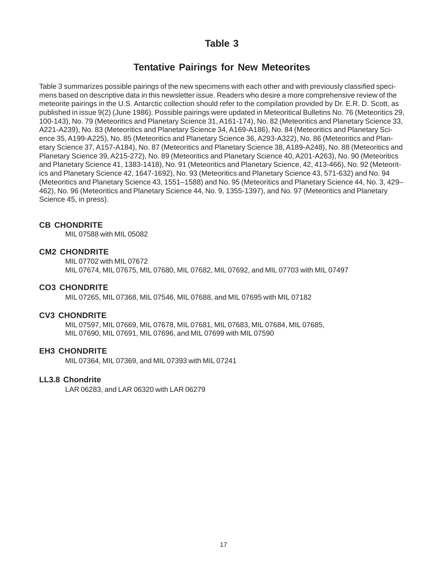#### **Tentative Pairings for New Meteorites**

Table 3 summarizes possible pairings of the new specimens with each other and with previously classified specimens based on descriptive data in this newsletter issue. Readers who desire a more comprehensive review of the meteorite pairings in the U.S. Antarctic collection should refer to the compilation provided by Dr. E.R. D. Scott, as published in issue 9(2) (June 1986). Possible pairings were updated in Meteoritical Bulletins No. 76 (Meteoritics 29, 100-143), No. 79 (Meteoritics and Planetary Science 31, A161-174), No. 82 (Meteoritics and Planetary Science 33, A221-A239), No. 83 (Meteoritics and Planetary Science 34, A169-A186), No. 84 (Meteoritics and Planetary Science 35, A199-A225), No. 85 (Meteoritics and Planetary Science 36, A293-A322), No. 86 (Meteoritics and Planetary Science 37, A157-A184), No. 87 (Meteoritics and Planetary Science 38, A189-A248), No. 88 (Meteoritics and Planetary Science 39, A215-272), No. 89 (Meteoritics and Planetary Science 40, A201-A263), No. 90 (Meteoritics and Planetary Science 41, 1383-1418), No. 91 (Meteoritics and Planetary Science, 42, 413-466), No. 92 (Meteoritics and Planetary Science 42, 1647-1692), No. 93 (Meteoritics and Planetary Science 43, 571-632) and No. 94 (Meteoritics and Planetary Science 43, 1551–1588) and No. 95 (Meteoritics and Planetary Science 44, No. 3, 429– 462), No. 96 (Meteoritics and Planetary Science 44, No. 9, 1355-1397), and No. 97 (Meteoritics and Planetary Science 45, in press).

#### **CB CHONDRITE**

MIL 07588 with MIL 05082

#### **CM2 CHONDRITE**

MIL 07702 with MIL 07672 MIL 07674, MIL 07675, MIL 07680, MIL 07682, MIL 07692, and MIL 07703 with MIL 07497

#### **CO3 CHONDRITE**

MIL 07265, MIL 07368, MIL 07546, MIL 07688, and MIL 07695 with MIL 07182

#### **CV3 CHONDRITE**

MIL 07597, MIL 07669, MIL 07678, MIL 07681, MIL 07683, MIL 07684, MIL 07685, MIL 07690, MIL 07691, MIL 07696, and MIL 07699 with MIL 07590

#### **EH3 CHONDRITE**

MIL 07364, MIL 07369, and MIL 07393 with MIL 07241

#### **LL3.8 Chondrite**

LAR 06283, and LAR 06320 with LAR 06279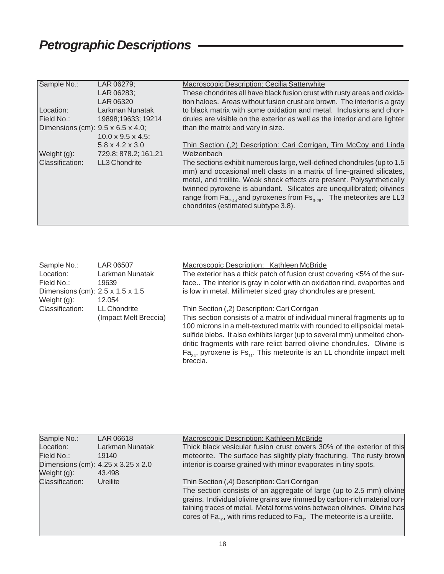## *Petrographic Descriptions*

| Sample No.:                       | LAR 06279;                     | Macroscopic Description: Cecilia Satterwhite                                                 |
|-----------------------------------|--------------------------------|----------------------------------------------------------------------------------------------|
|                                   | LAR 06283;                     | These chondrites all have black fusion crust with rusty areas and oxida-                     |
|                                   |                                |                                                                                              |
|                                   | LAR 06320                      | tion haloes. Areas without fusion crust are brown. The interior is a gray                    |
| Location:                         | Larkman Nunatak                | to black matrix with some oxidation and metal. Inclusions and chon-                          |
| Field No.:                        | 19898;19633; 19214             | drules are visible on the exterior as well as the interior and are lighter                   |
| Dimensions (cm): 9.5 x 6.5 x 4.0; |                                | than the matrix and vary in size.                                                            |
|                                   | $10.0 \times 9.5 \times 4.5$ ; |                                                                                              |
|                                   | $5.8 \times 4.2 \times 3.0$    | Thin Section (,2) Description: Cari Corrigan, Tim McCoy and Linda                            |
| Weight (g):                       | 729.8; 878.2; 161.21           | Welzenbach                                                                                   |
| Classification:                   | LL3 Chondrite                  | The sections exhibit numerous large, well-defined chondrules (up to 1.5                      |
|                                   |                                | mm) and occasional melt clasts in a matrix of fine-grained silicates,                        |
|                                   |                                | metal, and troilite. Weak shock effects are present. Polysynthetically                       |
|                                   |                                | twinned pyroxene is abundant. Silicates are unequilibrated; olivines                         |
|                                   |                                |                                                                                              |
|                                   |                                | range from $\text{Fa}_{2,44}$ and pyroxenes from $\text{Fs}_{2,28}$ . The meteorites are LL3 |
|                                   |                                | chondrites (estimated subtype 3.8).                                                          |
|                                   |                                |                                                                                              |
|                                   |                                |                                                                                              |

| Sample No.:                      | LAR 06507             | Macroscopic Description: Kathleen McBride                                         |
|----------------------------------|-----------------------|-----------------------------------------------------------------------------------|
| Location:                        | Larkman Nunatak       | The exterior has a thick patch of fusion crust covering <5% of the sur-           |
| Field No.:                       | 19639                 | face The interior is gray in color with an oxidation rind, evaporites and         |
| Dimensions (cm): 2.5 x 1.5 x 1.5 |                       | is low in metal. Millimeter sized gray chondrules are present.                    |
| Weight $(g)$ :                   | 12.054                |                                                                                   |
| Classification:                  | <b>LL Chondrite</b>   | Thin Section (,2) Description: Cari Corrigan                                      |
|                                  | (Impact Melt Breccia) | This section consists of a matrix of individual mineral fragments up to           |
|                                  |                       | 100 microns in a melt-textured matrix with rounded to ellipsoidal metal-          |
|                                  |                       | sulfide blebs. It also exhibits larger (up to several mm) unmelted chon-          |
|                                  |                       | dritic fragments with rare relict barred olivine chondrules. Olivine is           |
|                                  |                       | $Fa_{34}$ , pyroxene is $Fs_{11}$ . This meteorite is an LL chondrite impact melt |
|                                  |                       | breccia.                                                                          |

| Sample No.:<br>Location:<br>Field No.:<br>Dimensions (cm): 4.25 x 3.25 x 2.0 | LAR 06618<br>Larkman Nunatak<br>19140 | Macroscopic Description: Kathleen McBride<br>Thick black vesicular fusion crust covers 30% of the exterior of this<br>meteorite. The surface has slightly platy fracturing. The rusty brown<br>interior is coarse grained with minor evaporates in tiny spots.                                                                                                     |
|------------------------------------------------------------------------------|---------------------------------------|--------------------------------------------------------------------------------------------------------------------------------------------------------------------------------------------------------------------------------------------------------------------------------------------------------------------------------------------------------------------|
| Weight (g):<br>Classification:                                               | 43.498<br>Ureilite                    | Thin Section (,4) Description: Cari Corrigan<br>The section consists of an aggregate of large (up to 2.5 mm) olivine<br>grains. Individual olivine grains are rimmed by carbon-rich material con-<br>taining traces of metal. Metal forms veins between olivines. Olivine has<br>cores of $Fa_{10}$ , with rims reduced to $Fa_{7}$ . The meteorite is a ureilite. |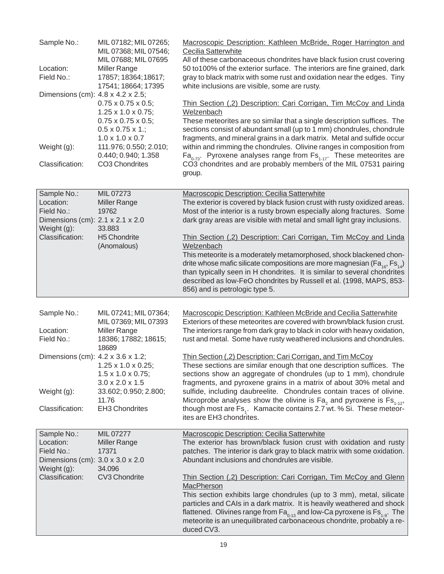| Sample No.:<br>Location:<br>Field No.:<br>Dimensions (cm): 4.8 x 4.2 x 2.5;<br>Weight (g):<br>Classification: | MIL 07182; MIL 07265;<br>MIL 07368; MIL 07546;<br>MIL 07688; MIL 07695<br><b>Miller Range</b><br>17857; 18364; 18617;<br>17541; 18664; 17395<br>$0.75 \times 0.75 \times 0.5$ ;<br>$1.25 \times 1.0 \times 0.75$ ;<br>$0.75 \times 0.75 \times 0.5$ ;<br>$0.5 \times 0.75 \times 1$ .;<br>$1.0 \times 1.0 \times 0.7$<br>111.976; 0.550; 2.010;<br>0.440; 0.940; 1.358<br>CO3 Chondrites | Macroscopic Description: Kathleen McBride, Roger Harrington and<br>Cecilia Satterwhite<br>All of these carbonaceous chondrites have black fusion crust covering<br>50 to100% of the exterior surface. The interiors are fine grained, dark<br>gray to black matrix with some rust and oxidation near the edges. Tiny<br>white inclusions are visible, some are rusty.<br>Thin Section (,2) Description: Cari Corrigan, Tim McCoy and Linda<br>Welzenbach<br>These meteorites are so similar that a single description suffices. The<br>sections consist of abundant small (up to 1 mm) chondrules, chondrule<br>fragments, and mineral grains in a dark matrix. Metal and sulfide occur<br>within and rimming the chondrules. Olivine ranges in composition from<br>$Fa_{n.73}$ . Pyroxene analyses range from $Fs_{1.17}$ . These meteorites are<br>CO3 chondrites and are probably members of the MIL 07531 pairing |
|---------------------------------------------------------------------------------------------------------------|------------------------------------------------------------------------------------------------------------------------------------------------------------------------------------------------------------------------------------------------------------------------------------------------------------------------------------------------------------------------------------------|-----------------------------------------------------------------------------------------------------------------------------------------------------------------------------------------------------------------------------------------------------------------------------------------------------------------------------------------------------------------------------------------------------------------------------------------------------------------------------------------------------------------------------------------------------------------------------------------------------------------------------------------------------------------------------------------------------------------------------------------------------------------------------------------------------------------------------------------------------------------------------------------------------------------------|
|                                                                                                               |                                                                                                                                                                                                                                                                                                                                                                                          | group.                                                                                                                                                                                                                                                                                                                                                                                                                                                                                                                                                                                                                                                                                                                                                                                                                                                                                                                |
| Sample No.:<br>Location:<br>Field No.:<br>Dimensions (cm): 2.1 x 2.1 x 2.0<br>Weight (g):<br>Classification:  | MIL 07273<br><b>Miller Range</b><br>19762<br>33.883<br><b>H5 Chondrite</b><br>(Anomalous)                                                                                                                                                                                                                                                                                                | Macroscopic Description: Cecilia Satterwhite<br>The exterior is covered by black fusion crust with rusty oxidized areas.<br>Most of the interior is a rusty brown especially along fractures. Some<br>dark gray areas are visible with metal and small light gray inclusions.<br>Thin Section (,2) Description: Cari Corrigan, Tim McCoy and Linda<br>Welzenbach<br>This meteorite is a moderately metamorphosed, shock blackened chon-                                                                                                                                                                                                                                                                                                                                                                                                                                                                               |
|                                                                                                               |                                                                                                                                                                                                                                                                                                                                                                                          | drite whose mafic silicate compositions are more magnesian ( $Fa_{16}$ , $Fs_{14}$ )<br>than typically seen in H chondrites. It is similar to several chondrites<br>described as low-FeO chondrites by Russell et al. (1998, MAPS, 853-<br>856) and is petrologic type 5.                                                                                                                                                                                                                                                                                                                                                                                                                                                                                                                                                                                                                                             |
| Sample No.:<br>Location:<br>Field No.:                                                                        | MIL 07241; MIL 07364;<br>MIL 07369; MIL 07393<br>Miller Range<br>18386; 17882; 18615;<br>18689                                                                                                                                                                                                                                                                                           | Macroscopic Description: Kathleen McBride and Cecilia Satterwhite<br>Exteriors of these meteorites are covered with brown/black fusion crust.<br>The interiors range from dark gray to black in color with heavy oxidation,<br>rust and metal. Some have rusty weathered inclusions and chondrules.                                                                                                                                                                                                                                                                                                                                                                                                                                                                                                                                                                                                                   |
| Dimensions (cm): 4.2 x 3.6 x 1.2;                                                                             | $1.25 \times 1.0 \times 0.25$ ;<br>$1.5 \times 1.0 \times 0.75$ ;<br>$3.0 \times 2.0 \times 1.5$                                                                                                                                                                                                                                                                                         | Thin Section (,2) Description: Cari Corrigan, and Tim McCoy<br>These sections are similar enough that one description suffices. The<br>sections show an aggregate of chondrules (up to 1 mm), chondrule<br>fragments, and pyroxene grains in a matrix of about 30% metal and                                                                                                                                                                                                                                                                                                                                                                                                                                                                                                                                                                                                                                          |
| Weight (g):<br>Classification:                                                                                | 33.602; 0.950; 2.800;<br>11.76<br><b>EH3 Chondrites</b>                                                                                                                                                                                                                                                                                                                                  | sulfide, including daubreelite. Chondrules contain traces of olivine.<br>Microprobe analyses show the olivine is $Fa_{2}$ and pyroxene is $Fs_{1.12}$ ,<br>though most are Fs <sub>1</sub> . Kamacite contains 2.7 wt. % Si. These meteor-<br>ites are EH3 chondrites.                                                                                                                                                                                                                                                                                                                                                                                                                                                                                                                                                                                                                                                |
| Sample No.:<br>Location:<br>Field No.:<br>Dimensions (cm): 3.0 x 3.0 x 2.0<br>Weight (g):                     | MIL 07277<br>Miller Range<br>17371<br>34.096                                                                                                                                                                                                                                                                                                                                             | Macroscopic Description: Cecilia Satterwhite<br>The exterior has brown/black fusion crust with oxidation and rusty<br>patches. The interior is dark gray to black matrix with some oxidation.<br>Abundant inclusions and chondrules are visible.                                                                                                                                                                                                                                                                                                                                                                                                                                                                                                                                                                                                                                                                      |
| Classification:                                                                                               | CV3 Chondrite                                                                                                                                                                                                                                                                                                                                                                            | Thin Section (,2) Description: Cari Corrigan, Tim McCoy and Glenn<br>MacPherson<br>This section exhibits large chondrules (up to 3 mm), metal, silicate<br>particles and CAIs in a dark matrix. It is heavily weathered and shock<br>flattened. Olivines range from $Fa_{0.13}$ and low-Ca pyroxene is $Fs_{1.9}$ . The<br>meteorite is an unequilibrated carbonaceous chondrite, probably a re-<br>duced CV3.                                                                                                                                                                                                                                                                                                                                                                                                                                                                                                        |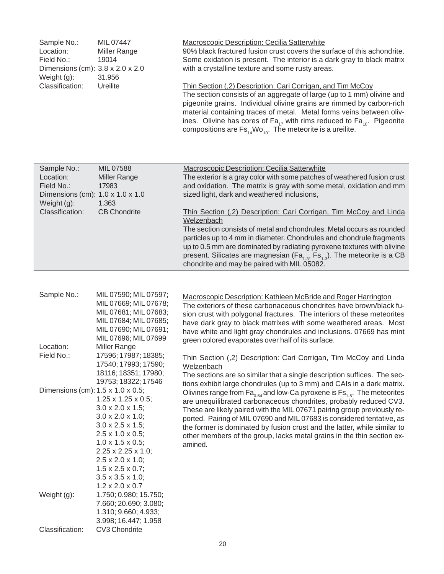| Sample No.:                                  | MIL 07447           | <b>Macroscopic Description: Cecilia Satterwhite</b>                     |
|----------------------------------------------|---------------------|-------------------------------------------------------------------------|
| Location:                                    | <b>Miller Range</b> | 90% black fractured fusion crust covers the surface of this achondrite. |
| Field No.:                                   | 19014               | Some oxidation is present. The interior is a dark gray to black matrix  |
| Dimensions (cm): $3.8 \times 2.0 \times 2.0$ |                     | with a crystalline texture and some rusty areas.                        |
| Weight $(g)$ :                               | 31.956              |                                                                         |
| Classification:                              | Ureilite            | Thin Section (,2) Description: Cari Corrigan, and Tim McCoy             |
|                                              |                     | The section consists of an aggregate of large (up to 1 mm) olivine and  |

pigeonite grains. Individual olivine grains are rimmed by carbon-rich material containing traces of metal. Metal forms veins between olivines. Olivine has cores of Fa<sub>17</sub> with rims reduced to Fa<sub>10</sub>. Pigeonite compositions are  $\mathsf{Fs}_{\mathsf{14}}\mathsf{Wo}_{\mathsf{10}}.$  The meteorite is a ureilite.

| Sample No.:                      | MIL 07588           | <b>Macroscopic Description: Cecilia Satterwhite</b>                                 |
|----------------------------------|---------------------|-------------------------------------------------------------------------------------|
| Location:                        | <b>Miller Range</b> | The exterior is a gray color with some patches of weathered fusion crust            |
| Field No.:                       | 17983               | and oxidation. The matrix is gray with some metal, oxidation and mm                 |
| Dimensions (cm): 1.0 x 1.0 x 1.0 |                     | sized light, dark and weathered inclusions,                                         |
| Weight $(g)$ :                   | 1.363               |                                                                                     |
| Classification:                  | <b>CB Chondrite</b> | Thin Section (,2) Description: Cari Corrigan, Tim McCoy and Linda                   |
|                                  |                     | Welzenbach                                                                          |
|                                  |                     | The section consists of metal and chondrules. Metal occurs as rounded               |
|                                  |                     | particles up to 4 mm in diameter. Chondrules and chondrule fragments                |
|                                  |                     | up to 0.5 mm are dominated by radiating pyroxene textures with olivine              |
|                                  |                     | present. Silicates are magnesian ( $Fa_{4,3}$ , $Fs_{4,3}$ ). The meteorite is a CB |
|                                  |                     | chondrite and may be paired with MIL 05082.                                         |
|                                  |                     |                                                                                     |

| Sample No.:                       | MIL 07590; MIL 07597;<br>MIL 07669; MIL 07678;<br>MIL 07681; MIL 07683;<br>MIL 07684; MIL 07685;<br>MIL 07690; MIL 07691;<br>MIL 07696; MIL 07699                                                                                                                                                                                                                         | Macroscopic Description: Kathleen McBride and Roger Harrington<br>The exteriors of these carbonaceous chondrites have brown/black fu-<br>sion crust with polygonal fractures. The interiors of these meteorites<br>have dark gray to black matrixes with some weathered areas. Most<br>have white and light gray chondrules and inclusions. 07669 has mint<br>green colored evaporates over half of its surface.                                                              |
|-----------------------------------|---------------------------------------------------------------------------------------------------------------------------------------------------------------------------------------------------------------------------------------------------------------------------------------------------------------------------------------------------------------------------|-------------------------------------------------------------------------------------------------------------------------------------------------------------------------------------------------------------------------------------------------------------------------------------------------------------------------------------------------------------------------------------------------------------------------------------------------------------------------------|
| Location:                         | Miller Range                                                                                                                                                                                                                                                                                                                                                              |                                                                                                                                                                                                                                                                                                                                                                                                                                                                               |
| Field No.:                        | 17596; 17987; 18385;<br>17540; 17993; 17590;                                                                                                                                                                                                                                                                                                                              | Thin Section (,2) Description: Cari Corrigan, Tim McCoy and Linda<br>Welzenbach                                                                                                                                                                                                                                                                                                                                                                                               |
|                                   | 18116; 18351; 17980;<br>19753; 18322; 17546                                                                                                                                                                                                                                                                                                                               | The sections are so similar that a single description suffices. The sec-<br>tions exhibit large chondrules (up to 3 mm) and CAIs in a dark matrix.                                                                                                                                                                                                                                                                                                                            |
| Dimensions (cm): 1.5 x 1.0 x 0.5; | $1.25 \times 1.25 \times 0.5$ ;<br>$3.0 \times 2.0 \times 1.5$ ;<br>$3.0 \times 2.0 \times 1.0$ ;<br>$3.0 \times 2.5 \times 1.5$ ;<br>$2.5 \times 1.0 \times 0.5$ ;<br>$1.0 \times 1.5 \times 0.5$ ;<br>$2.25 \times 2.25 \times 1.0$ ;<br>$2.5 \times 2.0 \times 1.0$ ;<br>$1.5 \times 2.5 \times 0.7$ ;<br>$3.5 \times 3.5 \times 1.0$ ;<br>$1.2 \times 2.0 \times 0.7$ | Olivines range from $Fa_{0.64}$ and low-Ca pyroxene is $Fs_{1.5}$ . The meteorites<br>are unequilibrated carbonaceous chondrites, probably reduced CV3.<br>These are likely paired with the MIL 07671 pairing group previously re-<br>ported. Pairing of MIL 07690 and MIL 07683 is considered tentative, as<br>the former is dominated by fusion crust and the latter, while similar to<br>other members of the group, lacks metal grains in the thin section ex-<br>amined. |
| Weight $(g)$ :                    | 1.750; 0.980; 15.750;<br>7.660; 20.690; 3.080;<br>1.310; 9.660; 4.933;<br>3.998; 16.447; 1.958                                                                                                                                                                                                                                                                            |                                                                                                                                                                                                                                                                                                                                                                                                                                                                               |
| Classification:                   | CV3 Chondrite                                                                                                                                                                                                                                                                                                                                                             |                                                                                                                                                                                                                                                                                                                                                                                                                                                                               |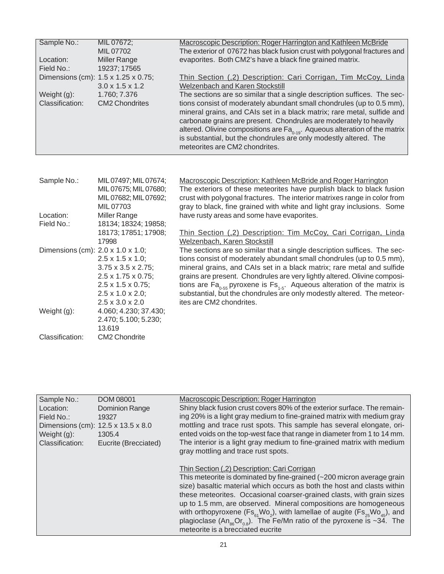| Sample No.:<br>Location:<br>Field No.:<br>Weight (g):<br>Classification: | MIL 07672;<br>MIL 07702<br>Miller Range<br>19237; 17565<br>Dimensions (cm): 1.5 x 1.25 x 0.75;<br>$3.0 \times 1.5 \times 1.2$<br>1.760; 7.376<br><b>CM2 Chondrites</b>               | Macroscopic Description: Roger Harrington and Kathleen McBride<br>The exterior of 07672 has black fusion crust with polygonal fractures and<br>evaporites. Both CM2's have a black fine grained matrix.<br>Thin Section (,2) Description: Cari Corrigan, Tim McCoy, Linda<br>Welzenbach and Karen Stockstill<br>The sections are so similar that a single description suffices. The sec-<br>tions consist of moderately abundant small chondrules (up to 0.5 mm),<br>mineral grains, and CAIs set in a black matrix; rare metal, sulfide and<br>carbonate grains are present. Chondrules are moderately to heavily<br>altered. Olivine compositions are $Fa_{0.19}$ . Aqueous alteration of the matrix<br>is substantial, but the chondrules are only modestly altered. The<br>meteorites are CM2 chondrites. |
|--------------------------------------------------------------------------|--------------------------------------------------------------------------------------------------------------------------------------------------------------------------------------|---------------------------------------------------------------------------------------------------------------------------------------------------------------------------------------------------------------------------------------------------------------------------------------------------------------------------------------------------------------------------------------------------------------------------------------------------------------------------------------------------------------------------------------------------------------------------------------------------------------------------------------------------------------------------------------------------------------------------------------------------------------------------------------------------------------|
|                                                                          |                                                                                                                                                                                      |                                                                                                                                                                                                                                                                                                                                                                                                                                                                                                                                                                                                                                                                                                                                                                                                               |
| Sample No.:<br>Location:                                                 | MIL 07497; MIL 07674;<br>MIL 07675; MIL 07680;<br>MIL 07682; MIL 07692;<br>MIL 07703<br>Miller Range                                                                                 | Macroscopic Description: Kathleen McBride and Roger Harrington<br>The exteriors of these meteorites have purplish black to black fusion<br>crust with polygonal fractures. The interior matrixes range in color from<br>gray to black, fine grained with white and light gray inclusions. Some<br>have rusty areas and some have evaporites.                                                                                                                                                                                                                                                                                                                                                                                                                                                                  |
| Field No.:                                                               | 18134; 18324; 19858;<br>18173; 17851; 17908;                                                                                                                                         | Thin Section (,2) Description: Tim McCoy, Cari Corrigan, Linda                                                                                                                                                                                                                                                                                                                                                                                                                                                                                                                                                                                                                                                                                                                                                |
| Dimensions (cm): 2.0 x 1.0 x 1.0;                                        | 17998<br>$2.5 \times 1.5 \times 1.0$ ;<br>$3.75 \times 3.5 \times 2.75$ ;<br>2.5 x 1.75 x 0.75;<br>2.5 x 1.5 x 0.75;<br>$2.5 \times 1.0 \times 2.0$ ;<br>$2.5 \times 3.0 \times 2.0$ | Welzenbach, Karen Stockstill<br>The sections are so similar that a single description suffices. The sec-<br>tions consist of moderately abundant small chondrules (up to 0.5 mm),<br>mineral grains, and CAIs set in a black matrix; rare metal and sulfide<br>grains are present. Chondrules are very lightly altered. Olivine composi-<br>tions are $Fa_{0.55}$ pyroxene is $Fs_{1.5}$ . Aqueous alteration of the matrix is<br>substantial, but the chondrules are only modestly altered. The meteor-<br>ites are CM2 chondrites.                                                                                                                                                                                                                                                                          |
| Weight $(g)$ :                                                           | 4.060; 4.230; 37.430;<br>2.470; 5.100; 5.230;<br>13.619                                                                                                                              |                                                                                                                                                                                                                                                                                                                                                                                                                                                                                                                                                                                                                                                                                                                                                                                                               |
| Classification:                                                          | CM2 Chondrite                                                                                                                                                                        |                                                                                                                                                                                                                                                                                                                                                                                                                                                                                                                                                                                                                                                                                                                                                                                                               |

| Sample No.:<br>Location:<br>Field No.:<br>Weight (g):<br>Classification: | <b>DOM 08001</b><br><b>Dominion Range</b><br>19327<br>Dimensions (cm): 12.5 x 13.5 x 8.0<br>1305.4<br>Eucrite (Brecciated) | <b>Macroscopic Description: Roger Harrington</b><br>Shiny black fusion crust covers 80% of the exterior surface. The remain-<br>ing 20% is a light gray medium to fine-grained matrix with medium gray<br>mottling and trace rust spots. This sample has several elongate, ori-<br>ented voids on the top-west face that range in diameter from 1 to 14 mm.<br>The interior is a light gray medium to fine-grained matrix with medium<br>gray mottling and trace rust spots.                                                                                                                                      |
|--------------------------------------------------------------------------|----------------------------------------------------------------------------------------------------------------------------|-------------------------------------------------------------------------------------------------------------------------------------------------------------------------------------------------------------------------------------------------------------------------------------------------------------------------------------------------------------------------------------------------------------------------------------------------------------------------------------------------------------------------------------------------------------------------------------------------------------------|
|                                                                          |                                                                                                                            | Thin Section (,2) Description: Cari Corrigan<br>This meteorite is dominated by fine-grained (~200 micron average grain<br>size) basaltic material which occurs as both the host and clasts within<br>these meteorites. Occasional coarser-grained clasts, with grain sizes<br>up to 1.5 mm, are observed. Mineral compositions are homogeneous<br>with orthopyroxene (Fs <sub>61</sub> Wo <sub>2</sub> ), with lamellae of augite (Fs <sub>25</sub> Wo <sub>45</sub> ), and<br>plagioclase (An <sub>se</sub> Or <sub>os</sub> ). The Fe/Mn ratio of the pyroxene is ~34. The<br>meteorite is a brecciated eucrite |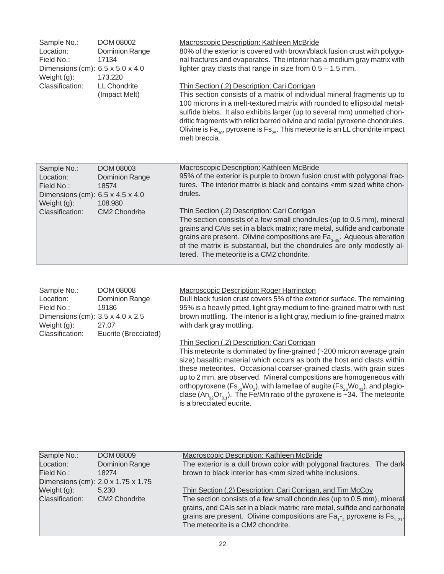| Sample No.:<br>Location:<br>Field No.:<br>Dimensions (cm): $6.5 \times 5.0 \times 4.0$<br>Weight (g):    | <b>DOM 08002</b><br>Dominion Range<br>17134<br>173.220        | Macroscopic Description: Kathleen McBride<br>80% of the exterior is covered with brown/black fusion crust with polygo-<br>nal fractures and evaporates. The interior has a medium gray matrix with<br>lighter gray clasts that range in size from $0.5 - 1.5$ mm.                                                                                                                                                                                                                        |
|----------------------------------------------------------------------------------------------------------|---------------------------------------------------------------|------------------------------------------------------------------------------------------------------------------------------------------------------------------------------------------------------------------------------------------------------------------------------------------------------------------------------------------------------------------------------------------------------------------------------------------------------------------------------------------|
| Classification:                                                                                          | <b>LL Chondrite</b><br>(Impact Melt)                          | Thin Section (,2) Description: Cari Corrigan<br>This section consists of a matrix of individual mineral fragments up to<br>100 microns in a melt-textured matrix with rounded to ellipsoidal metal-<br>sulfide blebs. It also exhibits larger (up to several mm) unmelted chon-<br>dritic fragments with relict barred olivine and radial pyroxene chondrules.<br>Olivine is $\text{Fa}_{30}$ , pyroxene is $\text{Fs}_{25}$ . This meteorite is an LL chondrite impact<br>melt breccia. |
| Sample No.:<br>Location:<br>Field No.:<br>Dimensions (cm): $6.5 \times 4.5 \times 4.0$<br>Weight $(g)$ : | <b>DOM 08003</b><br><b>Dominion Range</b><br>18574<br>108,980 | <b>Macroscopic Description: Kathleen McBride</b><br>95% of the exterior is purple to brown fusion crust with polygonal frac-<br>tures. The interior matrix is black and contains <mm chon-<br="" sized="" white="">drules.</mm>                                                                                                                                                                                                                                                          |
| Classification:                                                                                          | <b>CM2 Chondrite</b>                                          | Thin Section (,2) Description: Cari Corrigan<br>The section consists of a few small chondrules (up to 0.5 mm), mineral<br>grains and CAIs set in a black matrix; rare metal, sulfide and carbonate<br>grains are present. Olivine compositions are $\text{Fa}_{3.48}$ . Aqueous alteration<br>of the matrix is substantial, but the chondrules are only modestly al-<br>tered. The meteorite is a CM2 chondrite.                                                                         |

| Sample No.:                      | <b>DOM 08008</b>     | <b>Macroscopic Description: Roger Harrington</b>                            |
|----------------------------------|----------------------|-----------------------------------------------------------------------------|
| Location:                        | Dominion Range       | Dull black fusion crust covers 5% of the exterior surface. The remaining    |
| Field No.:                       | 19186                | 95% is a heavily pitted, light gray medium to fine-grained matrix with rust |
| Dimensions (cm): 3.5 x 4.0 x 2.5 |                      | brown mottling. The interior is a light gray, medium to fine-grained matrix |
| Weight $(g)$ :                   | 27.07                | with dark gray mottling.                                                    |
| Classification:                  | Eucrite (Brecciated) |                                                                             |
|                                  |                      | Thin Section (,2) Description: Cari Corrigan                                |
|                                  |                      | This meteorite is dominated by fine-grained (~200 micron average grain      |

size) basaltic material which occurs as both the host and clasts within these meteorites. Occasional coarser-grained clasts, with grain sizes up to 2 mm, are observed. Mineral compositions are homogeneous with orthopyroxene (Fs $_{\rm{60}}$ Wo $_{\rm{2}}$ ), with lamellae of augite (Fs $_{\rm{26}}$ Wo $_{\rm{43}}$ ), and plagioclase (An $_{\rm g2}$ Or $_{\rm 0.1}$ ). The Fe/Mn ratio of the pyroxene is ~34. The meteorite is a brecciated eucrite.

| Sample No.:<br>Location:<br>Field No.: | <b>DOM 08009</b><br>Dominion Range<br>18274 | Macroscopic Description: Kathleen McBride<br>The exterior is a dull brown color with polygonal fractures. The dark<br>brown to black interior has <mm inclusions.<="" sized="" th="" white=""></mm>                                                                          |
|----------------------------------------|---------------------------------------------|------------------------------------------------------------------------------------------------------------------------------------------------------------------------------------------------------------------------------------------------------------------------------|
|                                        | Dimensions (cm): 2.0 x 1.75 x 1.75          |                                                                                                                                                                                                                                                                              |
| Weight $(g)$ :                         | 5.230                                       | Thin Section (,2) Description: Cari Corrigan, and Tim McCoy                                                                                                                                                                                                                  |
| Classification:                        | <b>CM2 Chondrite</b>                        | The section consists of a few small chondrules (up to 0.5 mm), mineral<br>grains, and CAIs set in a black matrix; rare metal, sulfide and carbonate<br>grains are present. Olivine compositions are $Fa_{1-4}$ pyroxene is $Fs_{1-2}$ .<br>The meteorite is a CM2 chondrite. |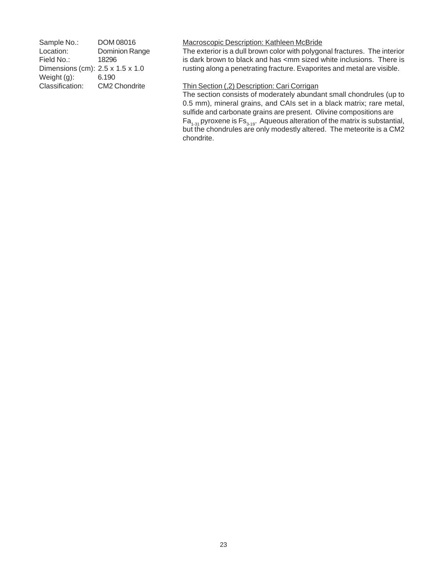| Sample No.:                      | DOM 08016            | <b>Macroscopic Description: Kathleen McBride</b>                                                |
|----------------------------------|----------------------|-------------------------------------------------------------------------------------------------|
| Location:                        | Dominion Range       | The exterior is a dull brown color with polygonal fractures. The interior                       |
| Field No.:                       | 18296                | is dark brown to black and has <mm inclusions.="" is<="" sized="" td="" there="" white=""></mm> |
| Dimensions (cm): 2.5 x 1.5 x 1.0 |                      | rusting along a penetrating fracture. Evaporites and metal are visible.                         |
| Weight (g):                      | 6.190                |                                                                                                 |
| Classification:                  | <b>CM2 Chondrite</b> | Thin Section (,2) Description: Cari Corrigan                                                    |
|                                  |                      | The section consists of moderately abundant small chondrules (up to                             |
|                                  |                      | 0.5 mm), mineral grains, and CAIs set in a black matrix; rare metal,                            |
|                                  |                      | sulfide and carbonate grains are present. Olivine compositions are                              |

chondrite.

Fa $_{1\text{-}31}$ pyroxene is Fs $_{3\text{-}19}$ . Aqueous alteration of the matrix is substantial, but the chondrules are only modestly altered. The meteorite is a CM2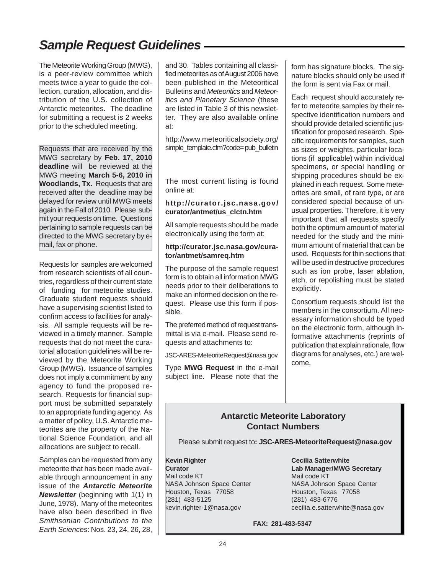## *Sample Request Guidelines*

The Meteorite Working Group (MWG), is a peer-review committee which meets twice a year to guide the collection, curation, allocation, and distribution of the U.S. collection of Antarctic meteorites. The deadline for submitting a request is 2 weeks prior to the scheduled meeting.

Requests that are received by the MWG secretary by **Feb. 17, 2010 deadline** will be reviewed at the MWG meeting **March 5-6, 2010 in Woodlands, Tx.** Requests that are received after the deadline may be delayed for review until MWG meets again in the Fall of 2010. Please submit your requests on time. Questions pertaining to sample requests can be directed to the MWG secretary by email, fax or phone.

Requests for samples are welcomed from research scientists of all countries, regardless of their current state of funding for meteorite studies. Graduate student requests should have a supervising scientist listed to confirm access to facilities for analysis. All sample requests will be reviewed in a timely manner. Sample requests that do not meet the curatorial allocation guidelines will be reviewed by the Meteorite Working Group (MWG). Issuance of samples does not imply a commitment by any agency to fund the proposed research. Requests for financial support must be submitted separately to an appropriate funding agency. As a matter of policy, U.S. Antarctic meteorites are the property of the National Science Foundation, and all allocations are subject to recall.

Samples can be requested from any meteorite that has been made available through announcement in any issue of the *Antarctic Meteorite Newsletter* (beginning with 1(1) in June, 1978). Many of the meteorites have also been described in five *Smithsonian Contributions to the Earth Sciences*: Nos. 23, 24, 26, 28,

and 30. Tables containing all classified meteorites as of August 2006 have been published in the Meteoritical Bulletins and *Meteoritics* and *Meteoritics and Planetary Science* (these are listed in Table 3 of this newsletter. They are also available online at:

http://www.meteoriticalsociety.org/ simple\_template.cfm?code= pub\_bulletin

The most current listing is found online at:

#### **http://curator.jsc.nasa.gov/ curator/antmet/us\_clctn.htm**

All sample requests should be made electronically using the form at:

#### **http://curator.jsc.nasa.gov/curator/antmet/samreq.htm**

The purpose of the sample request form is to obtain all information MWG needs prior to their deliberations to make an informed decision on the request. Please use this form if possible.

The preferred method of request transmittal is via e-mail. Please send requests and attachments to:

JSC-ARES-MeteoriteRequest@nasa.gov

Type **MWG Request** in the e-mail subject line. Please note that the

form has signature blocks. The signature blocks should only be used if the form is sent via Fax or mail.

Each request should accurately refer to meteorite samples by their respective identification numbers and should provide detailed scientific justification for proposed research. Specific requirements for samples, such as sizes or weights, particular locations (if applicable) within individual specimens, or special handling or shipping procedures should be explained in each request. Some meteorites are small, of rare type, or are considered special because of unusual properties. Therefore, it is very important that all requests specify both the optimum amount of material needed for the study and the minimum amount of material that can be used. Requests for thin sections that will be used in destructive procedures such as ion probe, laser ablation, etch, or repolishing must be stated explicitly.

Consortium requests should list the members in the consortium. All necessary information should be typed on the electronic form, although informative attachments (reprints of publication that explain rationale, flow diagrams for analyses, etc.) are welcome.

#### **Antarctic Meteorite Laboratory Contact Numbers**

Please submit request to**: JSC-ARES-MeteoriteRequest@nasa.gov**

**Kevin Righter Curator** Mail code KT NASA Johnson Space Center Houston, Texas 77058 (281) 483-5125 kevin.righter-1@nasa.gov

**Cecilia Satterwhite Lab Manager/MWG Secretary** Mail code KT NASA Johnson Space Center Houston, Texas 77058 (281) 483-6776 cecilia.e.satterwhite@nasa.gov

**FAX: 281-483-5347**